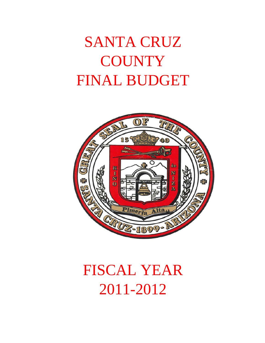# SANTA CRUZ **COUNTY** FINAL BUDGET



# FISCAL YEAR 2011-2012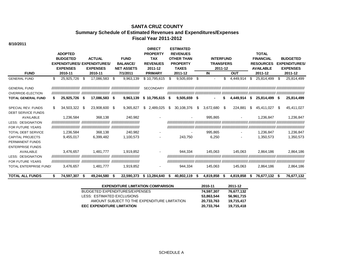#### **SANTA CRUZ COUNTY Summary Schedule of Estimated Revenues and Expenditures/Expenses Fiscal Year 2011-2012**

| 8/10/2011                                              |     |                                                                 |      |                                                                                   |      |                                                                 |    |                                                                                                |    |                                                                                                        |     |                                                       |    |            |    |                                                                                     |      |                                                                       |
|--------------------------------------------------------|-----|-----------------------------------------------------------------|------|-----------------------------------------------------------------------------------|------|-----------------------------------------------------------------|----|------------------------------------------------------------------------------------------------|----|--------------------------------------------------------------------------------------------------------|-----|-------------------------------------------------------|----|------------|----|-------------------------------------------------------------------------------------|------|-----------------------------------------------------------------------|
| <b>FUND</b>                                            |     | <b>ADOPTED</b><br><b>BUDGETED</b><br><b>EXPENSES</b><br>2010-11 |      | <b>ACTUAL</b><br><b>EXPENDITURES/ EXPENDITURES/</b><br><b>EXPENSES</b><br>2010-11 |      | <b>FUND</b><br><b>BALANCE/</b><br><b>NET ASSETS</b><br>7/1/2011 |    | <b>DIRECT</b><br><b>PROPERTY</b><br><b>TAX</b><br><b>REVENUES</b><br>2011-12<br><b>PRIMARY</b> |    | <b>ESTIMATED</b><br><b>REVENUES</b><br><b>OTHER THAN</b><br><b>PROPERTY</b><br><b>TAXES</b><br>2011-12 |     | <b>INTERFUND</b><br><b>TRANSFERS</b><br>2011-12<br>IN |    | <b>OUT</b> |    | <b>TOTAL</b><br><b>FINANCIAL</b><br><b>RESOURCES</b><br><b>AVAILABLE</b><br>2011-12 |      | <b>BUDGETED</b><br><b>EXPENDITURES/</b><br><b>EXPENSES</b><br>2011-12 |
| <b>GENERAL FUND</b>                                    | \$  | 25,925,726                                                      | \$   | 17,086,583                                                                        | - \$ | 9,963,139                                                       |    | \$10,795,615                                                                                   | \$ | 9,505,659                                                                                              | \$  | $\overline{\phantom{0}}$                              | \$ | 4,449,914  | \$ | 25,814,499                                                                          | S    | 25,814,499                                                            |
|                                                        |     |                                                                 |      |                                                                                   |      |                                                                 |    |                                                                                                |    |                                                                                                        |     |                                                       |    |            |    |                                                                                     |      |                                                                       |
| <b>GENERAL FUND</b><br><b>OVERRIDE-ELECTION</b>        |     | ,,,,,,,,,,,,,,,,,,,,,,,,,,,                                     |      |                                                                                   |      |                                                                 |    | <b>SECONDARY</b>                                                                               |    |                                                                                                        |     |                                                       |    |            |    |                                                                                     |      |                                                                       |
| <b>TOTAL GENERAL FUND</b>                              | S   | 25,925,726                                                      | - \$ | 17,086,583 \$                                                                     |      | 9,963,139                                                       | \$ | 10,795,615                                                                                     | -S | $9,505,659$ \$                                                                                         |     |                                                       |    | 4,449,914  | S  | 25,814,499 \$                                                                       |      | 25,814,499                                                            |
| <b>SPECIAL REV. FUNDS</b><br><b>DEBT SERVICE FUNDS</b> | \$. | 34,503,322                                                      | \$   | 23,908,600 \$                                                                     |      | 9,365,827                                                       | S. | 2,489,025                                                                                      | \$ | 30,108,376                                                                                             | S.  | 3,672,680                                             | \$ | 224,881    | \$ | 45,411,027                                                                          | -SS  | 45,411,027                                                            |
| <b>AVAILABLE</b>                                       |     | 1,236,584                                                       |      | 368.138                                                                           |      | 240,982                                                         |    |                                                                                                |    |                                                                                                        |     | 995,865                                               |    |            |    | 1,236,847                                                                           |      | 1,236,847                                                             |
| <b>LESS: DESIGNATION</b>                               |     |                                                                 |      |                                                                                   |      |                                                                 |    |                                                                                                |    |                                                                                                        |     |                                                       |    |            |    |                                                                                     |      |                                                                       |
| FOR FUTURE YEARS                                       |     |                                                                 |      |                                                                                   |      |                                                                 |    |                                                                                                |    |                                                                                                        |     |                                                       |    |            |    |                                                                                     |      |                                                                       |
| <b>TOTAL DEBT SERVICE</b>                              |     | 1,236,584                                                       |      | 368,138                                                                           |      | 240,982                                                         |    |                                                                                                |    |                                                                                                        |     | 995,865                                               |    |            |    | 1,236,847                                                                           |      | 1,236,847                                                             |
| <b>CAPITAL PROJECTS</b>                                |     | 9,455,017                                                       |      | 6,399,482                                                                         |      | 1,100,573                                                       |    |                                                                                                |    | 243,750                                                                                                |     | 6,250                                                 |    |            |    | 1,350,573                                                                           |      | 1,350,573                                                             |
| PERMANENT FUNDS                                        |     |                                                                 |      |                                                                                   |      |                                                                 |    |                                                                                                |    |                                                                                                        |     |                                                       |    |            |    |                                                                                     |      |                                                                       |
| <b>ENTERPRISE FUNDS</b>                                |     |                                                                 |      |                                                                                   |      |                                                                 |    |                                                                                                |    |                                                                                                        |     |                                                       |    |            |    |                                                                                     |      |                                                                       |
| AVAILABLE                                              |     | 3,476,657                                                       |      | 1,481,777                                                                         |      | 1,919,852                                                       |    |                                                                                                |    | 944,334                                                                                                |     | 145,063                                               |    | 145,063    |    | 2,864,186                                                                           |      | 2,864,186                                                             |
| <b>LESS: DESIGNATION</b>                               |     |                                                                 |      |                                                                                   |      |                                                                 |    |                                                                                                |    |                                                                                                        |     |                                                       |    |            |    |                                                                                     |      |                                                                       |
| <b>FOR FUTURE YEARS</b>                                |     | ////////////////////////////                                    |      |                                                                                   |      |                                                                 |    |                                                                                                |    |                                                                                                        |     |                                                       |    |            |    |                                                                                     |      |                                                                       |
| <b>TOTAL ENTERPRISE FUND:</b>                          |     | 3,476,657                                                       |      | 1,481,777                                                                         |      | 1,919,852                                                       |    |                                                                                                |    | 944,334                                                                                                |     | 145,063                                               |    | 145,063    |    | 2,864,186                                                                           |      | 2,864,186                                                             |
| <b>TOTAL ALL FUNDS</b>                                 | S   | 74.597.307                                                      | -S   | 49,244,580                                                                        |      | 22.590.373                                                      |    | \$13.284.640                                                                                   | 5  | 40,802,119                                                                                             | - 5 | 4,819,858                                             | S  | 4,819,858  | S. | 76,677,132                                                                          | - \$ | 76,677,132                                                            |

| <b>EXPENDITURE LIMITATION COMPARISON</b>     | 2010-11    | 2011-12    |
|----------------------------------------------|------------|------------|
| BUDGETED EXPENDITURES/EXPENSES               | 74.597.307 | 76,677,132 |
| LESS: ESTIMATED EXCLUSIONS                   | 53,863,544 | 56,961,715 |
| AMOUNT SUBJECT TO THE EXPENDITURE LIMITATION | 20.733.763 | 19.715.417 |
| <b>EEC EXPENDITURE LIMITATION</b>            | 20,733,764 | 19,715,418 |

SCHEDULE A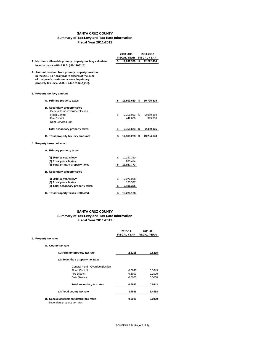# SCHEDULE B (Page 2 of 2)

### **SANTA CRUZ COUNTY Summary of Tax Levy and Tax Rate Information Fiscal Year 2011-2012**

|                                                                                                                                                                                                 |     | 2010-2011               | 2011-2012            |
|-------------------------------------------------------------------------------------------------------------------------------------------------------------------------------------------------|-----|-------------------------|----------------------|
|                                                                                                                                                                                                 |     | <b>FISCAL YEAR</b>      | <b>FISCAL YEAR</b>   |
| 1. Maximum allowable primary property tax levy calculated                                                                                                                                       | \$  | 11,897,359              | \$<br>12,222,404     |
| in accordance with A.R.S. §42-17051(A).                                                                                                                                                         |     |                         |                      |
| 2. Amount received from primary property taxation<br>in the 2010-11 fiscal year in excess of the sum<br>of that year's maximum allowable primary<br>property tax levy. A.R.S. §42-17102(A)(18). |     |                         |                      |
| 3. Property tax levy amount                                                                                                                                                                     |     |                         |                      |
| A. Primary property taxes                                                                                                                                                                       | -\$ | 11,609,650              | \$<br>10,795,615     |
| <b>B.</b> Secondary property taxes<br><b>General Fund-Override Election</b><br><b>Flood Control</b><br><b>Fire District</b><br>Debt Service Fund                                                | \$  | 2,316,963 \$<br>442,660 | 2,089,389<br>399,636 |
| <b>Total secondary property taxes</b>                                                                                                                                                           | \$  | 2,759,623               | \$<br>2,489,025      |
| C. Total property tax levy amounts                                                                                                                                                              | \$  | 14,369,273              | \$<br>13,284,640     |
| 4. Property taxes collected                                                                                                                                                                     |     |                         |                      |
| A. Primary property taxes                                                                                                                                                                       |     |                         |                      |
| (1) 2010-11 year's levy<br>(2) Prior years' levies                                                                                                                                              | \$  | 10,397,360<br>630,414   |                      |
| (3) Total primary property taxes                                                                                                                                                                | \$  | 11,027,773              |                      |
| <b>B.</b> Secondary property taxes                                                                                                                                                              |     |                         |                      |
| (1) 2010-11 year's levy<br>(2) Prior years' levies                                                                                                                                              | \$  | 2,071,028<br>125,327    |                      |
| (3) Total secondary property taxes                                                                                                                                                              | \$  | 2,196,355               |                      |
| <b>C. Total Property Taxes Collected</b>                                                                                                                                                        | \$  | 13,224,128              |                      |

### **SANTA CRUZ COUNTY Summary of Tax Levy and Tax Rate Information Fiscal Year 2011-2012**

| 2010-11            | 2011-12            |
|--------------------|--------------------|
| <b>FISCAL YEAR</b> | <b>FISCAL YEAR</b> |

**5. Property tax rates**

**A. County tax rate**

| (1) Primary property tax rate                                                   |                                  | 2.8215 | 2.8215 |
|---------------------------------------------------------------------------------|----------------------------------|--------|--------|
|                                                                                 | (2) Secondary property tax rates |        |        |
|                                                                                 | General Fund - Override Election |        |        |
|                                                                                 | <b>Flood Control</b>             | 0.5643 | 0.5643 |
|                                                                                 | <b>Fire District</b>             | 0.1000 | 0.1000 |
|                                                                                 | Debt Service                     | 0.0000 | 0.0000 |
|                                                                                 | <b>Total secondary tax rates</b> | 0.6643 | 0.6643 |
| (3) Total county tax rate                                                       |                                  | 3.4858 | 3.4858 |
| <b>B.</b> Special assessment district tax rates<br>Secondary property tax rates |                                  | 0.0000 | 0.0000 |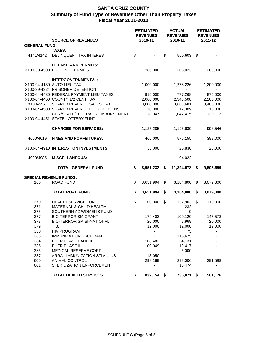|                               | <b>SOURCE OF REVENUES</b>                                                                                                  |                           | <b>ESTIMATED</b><br><b>REVENUES</b><br>2010-11 | <b>ACTUAL</b><br><b>REVENUES</b><br>2010-11 | <b>ESTIMATED</b><br><b>REVENUES</b><br>2011-12 |
|-------------------------------|----------------------------------------------------------------------------------------------------------------------------|---------------------------|------------------------------------------------|---------------------------------------------|------------------------------------------------|
| <b>GENERAL FUND:</b>          |                                                                                                                            |                           |                                                |                                             |                                                |
|                               | <b>TAXES:</b>                                                                                                              |                           |                                                |                                             |                                                |
| 4141/4142                     | DELINQUENT TAX INTEREST                                                                                                    | $\boldsymbol{\mathsf{S}}$ |                                                | \$<br>550,603 \$                            |                                                |
|                               | <b>LICENSE AND PERMITS:</b><br>X100-63-4500 BUILDING PERMITS                                                               |                           | 280,000                                        | 305,023                                     | 280,000                                        |
|                               | <b>INTERGOVERNMENTAL:</b><br>X100-04-4130 AUTO LIEU TAX<br>X100-39-4324 PRISONER DETENTION                                 |                           | 1,000,000                                      | 1,278,226                                   | 1,200,000                                      |
| X100-4461                     | X100-04-4430 FEDERAL PAYMENT LIEU TAXES<br>X100-04-4460 COUNTY 1/2 CENT TAX<br>SHARED REVENUE SALES TAX                    |                           | 916,000<br>2,000,000<br>3,000,000              | 777,268<br>2,345,508<br>3,686,681           | 875,000<br>2,200,000<br>3,400,000              |
|                               | X100-04-4500 SHARED REVENUE LIQUOR LICENSE<br>CITY/STATE/FEDERAL REIMBURSEMENT<br>X100-04-4451 STATE LOTTERY FUND          |                           | 10,000<br>118,947                              | 12,309<br>1,047,415                         | 10,000<br>130,113                              |
|                               | <b>CHARGES FOR SERVICES:</b>                                                                                               |                           | 1,125,285                                      | 1,195,639                                   | 996,546                                        |
| 4600/4619                     | <b>FINES AND FORFEITURES:</b>                                                                                              |                           | 466,000                                        | 576,155                                     | 389,000                                        |
|                               | X100-04-4910 INTEREST ON INVESTMENTS:                                                                                      |                           | 35,000                                         | 25,830                                      | 25,000                                         |
| 4980/4985                     | <b>MISCELLANEOUS:</b>                                                                                                      |                           |                                                | 94,022                                      |                                                |
|                               | <b>TOTAL GENERAL FUND</b>                                                                                                  | \$                        | 8,951,232                                      | \$<br>11,894,678                            | \$<br>9,505,659                                |
| <b>SPECIAL REVENUE FUNDS:</b> |                                                                                                                            |                           |                                                |                                             |                                                |
| 105                           | <b>ROAD FUND</b>                                                                                                           | \$                        | 3,651,994                                      | \$<br>3,184,800                             | \$<br>3,079,300                                |
|                               | <b>TOTAL ROAD FUND</b>                                                                                                     | \$                        | 3,651,994                                      | \$<br>3,184,800                             | \$<br>3,079,300                                |
| 370<br>371<br>375<br>377      | <b>HEALTH SERVICE FUND</b><br><b>MATERNAL &amp; CHILD HEALTH</b><br>SOUTHERN AZ WOMEN'S FUND<br><b>BIO TERRORISM GRANT</b> | \$                        | 100,000<br>179,403                             | \$<br>132,963<br>232<br>9<br>109,120        | \$<br>110,000<br>147,578                       |
| 378<br>379<br>380             | <b>BIO-TERRORISM BI-NATIONAL</b><br>T.B.<br><b>HIV PROGRAM</b>                                                             |                           | 20,000<br>12,000                               | 7,969<br>12,000<br>75                       | 20,000<br>12,000                               |
| 383<br>384<br>385             | <b>IMMUNIZATION PROGRAM</b><br>PHER PHASE I AND II<br>PHER PHASE III                                                       |                           | 108,483<br>100,049                             | 113,675<br>34,131<br>10,417                 |                                                |
| 386<br>387<br>600             | MEDICAL RESERVE CORP.<br>ARRA - IMMUNIZATION STIMULUS<br><b>ANIMAL CONTROL</b>                                             |                           | 13,050<br>299,169                              | 5,000<br>299,006                            | 291,598                                        |
| 601                           | STERILIZATION ENFORCEMENT<br><b>TOTAL HEALTH SERVICES</b>                                                                  |                           |                                                | 10,474                                      |                                                |
|                               |                                                                                                                            | \$                        | 832,154 \$                                     | 735,071                                     | \$<br>581,176                                  |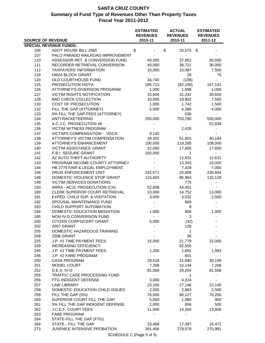| <b>SOURCE OF REVENUE</b> |                                   | <b>ESTIMATED</b><br><b>REVENUES</b><br>2010-11 | <b>ACTUAL</b><br><b>REVENUES</b><br>2010-11 | <b>ESTIMATED</b><br><b>REVENUES</b><br>2011-12 |
|--------------------------|-----------------------------------|------------------------------------------------|---------------------------------------------|------------------------------------------------|
|                          | <b>SPECIAL REVENUE FUNDS:</b>     |                                                |                                             |                                                |
|                          | ADOT HOUSE BILL 2565              |                                                | \$                                          |                                                |
| 106<br>107               | PALO PARADO RAILROAD IMPROVEMENT  | \$                                             | 20,575 \$                                   |                                                |
|                          |                                   |                                                |                                             |                                                |
| 110                      | ASSESSOR RET. & CONVERSION FUND   | 40,000                                         | 37,852                                      | 30,000                                         |
| 111                      | RECORDER RETRIEVAL CONVERSION     | 40,000                                         | 38,721                                      | 30,000                                         |
| 112                      | <b>TAXPAYERS' INFORMATION</b>     | 10,000                                         | 10,087                                      | 7,500                                          |
| 118                      | <b>HAVA BLOCK GRANT</b>           | $\sim$                                         | 28                                          | 75                                             |
| 120                      | OLD COURTHOUSE FUND               | 34,740                                         | (106)                                       |                                                |
| 125                      | PROSECUTION HIDTA                 | 185,713                                        | (92, 100)                                   | 167,141                                        |
| 126                      | ATTORNEY'S DIVERSION PROGRAM      | 1,000                                          | 1,598                                       | 1,000                                          |
| 127                      | <b>VICTIM RIGHTS NOTIFICATION</b> | 15,604                                         | 31,242                                      | 30,650                                         |
| 128                      | <b>BAD CHECK COLLECTION</b>       | 10,000                                         | 19,902                                      | 7,500                                          |
| 130                      | <b>COST OF PROSECUTION</b>        | 1,000                                          | 1,742                                       | 1,500                                          |
| 132                      | FILL THE GAP (ATTORNEY)           | 5,000                                          | 4,389                                       | 4,000                                          |
| 133                      | 5% FILL THE GAP FEES (ATTORNEY)   | $\blacksquare$                                 | 536                                         |                                                |
| 134                      | ANTI-RACKETEERING                 | 250,000                                        | 703,290                                     | 550,000                                        |
| 135                      | A.C.J.C. PROSECUTION #6           |                                                | $\blacksquare$                              | 52,838                                         |
| 136                      | <b>VICTIM WITNESS PROGRAM</b>     |                                                | 2,426                                       |                                                |
| 137                      | VICTIM'S COMPENSATION - VOCA      | 9,140                                          |                                             |                                                |
| 138                      | ATTORNEY'S VICTIM COMPENSATION    | 28,302                                         | 51,603                                      | 40,184                                         |
| 139                      | <b>ATTORNEY'S ENHANCEMENT</b>     |                                                |                                             |                                                |
|                          |                                   | 100,000                                        | 118,285                                     | 108,000                                        |
| 140                      | VICTIM ASSISTANCE GRANT           | 22,000                                         | 17,600                                      | 17,600                                         |
| 141                      | F.B.I. SEIZURE GRANT              | 150,000                                        | $\mathbf{1}$                                |                                                |
| 142                      | AZ AUTO THEFT AUTHORITY           |                                                | 12,631                                      | 12,631                                         |
| 143                      | PROGRAM INCOME-COUNTY ATTORNEY    |                                                | 13,503                                      | 10,000                                         |
| 144                      | HB 2779 FAIR & LEGAL EMPLOYMENT   |                                                | 7,429                                       | 7,000                                          |
| 146                      | DRUG ENFORCEMENT UNIT             | 242,671                                        | 20,609                                      | 230,604                                        |
| 148                      | DOMESTIC VIOLENCE STOP GRANT      | 115,603                                        | 86,964                                      | 132,128                                        |
| 149                      | <b>VICTIM SERVICES DONATIONS</b>  |                                                | 775                                         |                                                |
| 150                      | ARRA - ACJC PROSECUTION (CA)      | 52,838                                         | 43,451                                      |                                                |
| 180                      | CLERK SUPERIOR COURT RETRIEVAL    | 10,000                                         | 14,752                                      | 13,000                                         |
| 181                      | EXPED. CHILD SUP. & VISITATION    | 3,000                                          | 3,032                                       | 2,500                                          |
| 182                      | SPOUSAL MAINTENANCE FUND          | $\sim$                                         | 669                                         | $\blacksquare$                                 |
| 183                      | CHILD SUPPORT AUTOMATION          | $\sim$                                         | 9                                           |                                                |
| 184                      | DOMESTIC EDUCATION MEDIATION      | 1,000                                          | 858                                         | 1,000                                          |
| 185                      | NON-IV-D CONVERSION FUND          | $\sim$                                         | 3                                           |                                                |
| 200                      | CITIZEN CORPS/CERT GRANT          | 5,000                                          | (32)                                        |                                                |
| 202                      | 2007 GRANT                        |                                                | 128                                         |                                                |
| 205                      | DOMESTIC HAZARDOUS TRAINING       |                                                | $\overline{1}$                              |                                                |
| 208                      | 2008 GRANT                        |                                                | 36                                          |                                                |
| 225                      | J.P. #1 TIME PAYMENT FEES         | 15,000                                         | 21,779                                      |                                                |
|                          | <b>INCREASING EFFICIENCY</b>      |                                                | 92,500                                      | 15,000                                         |
| 229                      |                                   |                                                |                                             |                                                |
| 245                      | J.P. #2 TIME PAYMENT FEES         | 1,200                                          | 1,691                                       | 1,983                                          |
| 246                      | J.P. #2 FARE PROGRAM              |                                                | 601                                         |                                                |
| 250                      | <b>CASA PROGRAM</b>               | 29,518                                         | 31,840                                      | 30,199                                         |
| 251                      | MODEL COURT                       | 7,208                                          | 10,144                                      | 7,208                                          |
| 252                      | D.E.S. IV-D                       | 81,569                                         | 29,204                                      | 81,568                                         |
| 255                      | TRAFFIC CASE PROCESSING FUND      |                                                | 1                                           |                                                |
| 256                      | FTG-INDIGENT DEFENSE              | 3,000                                          | 4,224                                       |                                                |
| 257                      | LAW LIBRARY                       | 23,150                                         | 27,146                                      | 23,140                                         |
| 258                      | DOMESTIC EDUCATION CHILD ISSUES   | 2,500                                          | 2,863                                       | 2,500                                          |
| 259                      | FILL THE GAP (5%)                 | 76,000                                         | 80,127                                      | 70,200                                         |
| 260                      | SUPERIOR COURT FILL THE GAP       | 5,000                                          | 1,980                                       | 900                                            |
| 261                      | 5% FILL THE GAP INDIGENT DEFENSE  | 2,000                                          | 856                                         | 500                                            |
| 262                      | J.C.E.F. COURT FEES               | 11,000                                         | 14,264                                      | 13,600                                         |
| 263                      | <b>FARE PROGRAM</b>               |                                                |                                             |                                                |
| 264                      | STATE-FILL THE GAP (FTG)          |                                                |                                             |                                                |
| 264                      | STATE - FILL THE GAP              | 33,408                                         | 17,397                                      | 16,472                                         |
| 273                      | JUVENILE INTENSIVE PROBATION      | 261,456                                        | 279,578                                     | 275,991                                        |
|                          |                                   |                                                |                                             |                                                |
|                          |                                   | SCHEDULE C (Page 5 of 5)                       |                                             |                                                |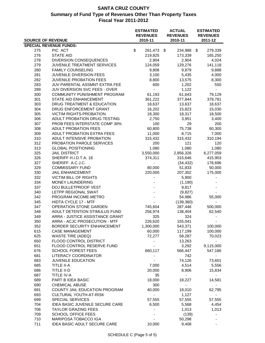|                          |                                     | <b>ESTIMATED</b><br><b>REVENUES</b> | <b>ACTUAL</b><br><b>REVENUES</b> | <b>ESTIMATED</b><br><b>REVENUES</b> |
|--------------------------|-------------------------------------|-------------------------------------|----------------------------------|-------------------------------------|
| <b>SOURCE OF REVENUE</b> |                                     | 2010-11                             | 2010-11                          | 2011-12                             |
|                          | <b>SPECIAL REVENUE FUNDS:</b>       |                                     |                                  |                                     |
| 275                      | PIC ACT                             | \$<br>261,473                       | \$<br>234,988                    | \$<br>279,339                       |
| 276                      | <b>STATE AID</b>                    | 219,825                             | 173,339                          | 165,250                             |
| 278                      | <b>DIVERSION CONSEQUENCES</b>       | 2,904                               | 2,904                            | 4,024                               |
| 279                      | JUVENILE TREATMENT SERVICES         | 124,059                             | 129,276                          | 141,118                             |
| 280                      | <b>FAMILY COUNSELING</b>            | 9,808                               | 9,879                            | 9,888                               |
| 281                      | JUVENILE DIVERSION FEES             | 3,100                               | 5,435                            | 4,000                               |
| 282                      | <b>JUVENILE PROBATION FEES</b>      | 8,800                               | 13,575                           | 8,300                               |
| 283                      | JUV PARENTAL ASSMNT EXTRA FEE       | 600                                 | 1,202                            | 550                                 |
| 289                      | JUV DIVERSION SVC FEES - OVER       | $\overline{\phantom{0}}$            | 1,122                            |                                     |
| 300                      | COMMUNITY PUNISHMENT PROGRAM        | 61,193                              | 61,643                           | 79,129                              |
| 301                      | STATE AID ENHANCEMENT               | 361,222                             | 377,844                          | 379,781                             |
| 303                      | DRUG TREATMENT & EDUCATION          | 18,637                              | 13,637                           | 18,637                              |
| 304                      | DRUG ENFORCEMENT GRANT              | 16,202                              | 15,823                           | 15,030                              |
| 305                      | <b>VICTIM RIGHTS-PROBATION</b>      | 18,300                              | 18,317                           | 18,500                              |
| 306                      | ADULT PROBATION DRUG TESTING        | 2,750                               | 3,951                            | 3,400                               |
| 307                      | PROB FEES INTERSTATE COMP 30%       | 100                                 | 29                               | 200                                 |
| 308                      | <b>ADULT PROBATION FEES</b>         | 60,800                              | 75,738                           | 60,300                              |
| 309                      | ADULT PROBATION EXTRA FEES          | 11,000                              | 8,715                            | 7,000                               |
| 310                      | ADULT INTENSIVE PROBATION           | 315,432                             | 315,432                          | 310,194                             |
| 312                      | PROBATION PAROLE SERVICES           | 200                                 | 121                              | 120                                 |
| 313                      | <b>GLOBAL POSITIONING</b>           | 1,080                               | 1,080                            | 1,080                               |
| 325                      | <b>JAIL DISTRICT</b>                | 3,550,000                           | 2,856,326                        | 6,277,059                           |
| 326                      | SHERIFF H.I.D.T.A. 18               | 374,311                             | 315,646                          | 415,903                             |
| 327                      | SHERIFF A.C.J.C.                    |                                     | (34, 432)                        | 178,696                             |
| 329                      | <b>COMMISSARY FUND</b>              | 80,000                              | 51,833                           | 50,000                              |
| 330                      | <b>JAIL ENHANCEMENT</b>             | 220,000                             | 207,302                          | 175,000                             |
| 332                      | <b>VICTIM BILL OF RIGHTS</b>        |                                     | 5,900                            |                                     |
| 334                      | <b>MONEY LAUNDERING</b>             |                                     | (1, 190)                         |                                     |
| 337                      | DOJ BULLETPROOF VEST                |                                     | 9,817                            |                                     |
| 340                      | LETPP REGIONAL SWAT                 |                                     | (9,827)                          |                                     |
| 342                      | PROGRAM INCOME-METRO                |                                     | 54,986                           | 55,000                              |
| 345                      | HIDTA CYCLE 17 - MTF                |                                     | (139, 360)                       |                                     |
| 347                      | OPERATION STONE GARDEN              | 745,604                             | 287,446                          | 500,000                             |
| 348                      | ADULT DETENTION STIMULUS FUND       | 256,974                             | 138,404                          | 62,540                              |
| 349                      | ARRA - JUSTICE ASSISTANCE GRANT     | 325                                 | 324                              |                                     |
| 350                      | ARRA - ACJC PROSECUTION - MTF       | 226,620                             | 155,041                          |                                     |
| 352                      | BORDER SECURITY ENHANCEMENT         | 1,300,000                           | 543,371                          | 100,000                             |
| 615                      | <b>CASE MANAGEMENT</b>              | 60,000                              | 117,199                          | 100,000                             |
| 625                      | <b>WASTE TIRE (ADEQ)</b>            | 72,277                              | 58,287                           | 70,023                              |
| 650                      | FLOOD CONTROL DISTRICT              |                                     | 13,263                           |                                     |
| 651                      | FLOOD CONTROL RESERVE FUND          |                                     | 3,292                            | 9,115,000                           |
| 676                      | <b>SCHOOL FOREST FEES</b>           | 660,117                             | 566,447                          | 547,186                             |
| 681                      | <b>LITERACY COORDINATOR</b>         |                                     | 742                              |                                     |
| 683                      | <b>JUVENILE EDUCATION</b>           |                                     | 74,126                           | 73,601                              |
| 685                      | <b>TITLE II-A</b>                   | 7,000                               | 4,514                            | 5,556                               |
| 686                      | TITLE II-D                          | 20,000                              | 8,906                            | 15,834                              |
| 687                      | <b>TITLE IV-A</b>                   | 35                                  |                                  |                                     |
| 689                      | PART B IDEA BASIC                   | 18,000                              | 18,227                           | 14,581                              |
| 690                      | <b>CHEMICAL ABUSE</b>               | 300                                 |                                  |                                     |
| 691                      | COUNTY JAIL EDUCATION PROGRAM       | 40,000                              | 18,010                           | 62,795                              |
| 693                      | <b>CULTURAL YOUTH-AT-RISK</b>       | $\overline{\phantom{a}}$            | 1,127                            |                                     |
| 699                      | SPECIAL SERVICES                    | 57,555                              | 57,555                           | 57,555                              |
| 704                      | IDEA BASIC JUVENILE SECURE CARE     | 6,500                               | 5,568                            | 4,454                               |
| 706                      | <b>TAYLOR GRAZING FEES</b>          |                                     | 1,013                            | 1,013                               |
| 709                      | <b>SCHOOL OFFICE FEES</b>           |                                     | (139)                            |                                     |
| 710                      | MARIPOSA TOBACCO IGA                |                                     | 50,298                           |                                     |
| 711                      | <b>IDEA BASIC ADULT SECURE CARE</b> | 10,000                              | 9,408                            |                                     |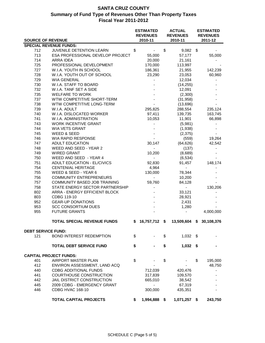|                           | <b>ESTIMATED</b><br><b>REVENUES</b> |    | <b>ACTUAL</b><br><b>REVENUES</b> | <b>ESTIMATED</b><br><b>REVENUES</b>       |               |
|---------------------------|-------------------------------------|----|----------------------------------|-------------------------------------------|---------------|
| <b>SOURCE OF REVENUE</b>  |                                     |    | 2010-11                          | 2010-11                                   | 2011-12       |
|                           | <b>SPECIAL REVENUE FUNDS:</b>       |    |                                  |                                           |               |
| 712                       | JUVENILE DETENTION LEARN            | \$ | $\blacksquare$                   | \$<br>$9,082$ \$                          |               |
| 713                       | ESA PROFESSIONAL DEVELOP PROJECT    |    | 55,000                           | 57,177                                    | 55,000        |
| 714                       | ARRA IDEA                           |    | 20,000                           | 21,161                                    |               |
| 725                       | PROFESSIONAL DEVELOPMENT            |    | 170,000                          | 113,997                                   |               |
| 727                       | W.I.A. YOUTH IN SCHOOL              |    | 186,361                          | 21,955                                    | 142,239       |
| 728                       | W.I.A. YOUTH OUT OF SCHOOL          |    | 23,290                           | 23,053                                    | 60,960        |
| 729                       | <b>WIA GENERAL</b>                  |    |                                  | 12,034                                    |               |
| 730                       | W.I.A. STAFF TO BOARD               |    |                                  | (14, 255)                                 |               |
| 732                       | W.I.A. TANF SET A SIDE              |    |                                  | 12,091                                    |               |
| 735                       | <b>WELFARE TO WORK</b>              |    |                                  | (2,300)                                   |               |
| 737                       | WTW COMPETITIVE SHORT-TERM          |    |                                  | (31, 958)                                 |               |
| 738                       | WTW COMPETITIVE LONG-TERM           |    |                                  | (13,696)                                  |               |
| 739                       | W.I.A. ADULT                        |    | 295,825                          | 288,554                                   | 235,124       |
| 740                       | W.I.A. DISLOCATED WORKER            |    | 97,411                           | 139,735                                   | 163,745       |
| 741                       | W.I.A. ADMINISTRATION               |    | 10,053                           | 11,901                                    | 66,898        |
| 743                       | <b>WORK INCENTIVE GRANT</b>         |    |                                  | (5,981)                                   |               |
| 744                       | <b>WIA VETS GRANT</b>               |    |                                  | (1,938)                                   |               |
| 745                       | WEED & SEED                         |    |                                  | (2,375)                                   |               |
| 746                       | <b>WIA RAPID RESPONSE</b>           |    |                                  | (559)                                     | 19,264        |
| 747                       | <b>ADULT EDUCATION</b>              |    | 30,147                           | (64, 626)                                 | 42,542        |
| 748                       | WEED AND SEED - YEAR 2              |    |                                  | (137)                                     |               |
| 749                       | <b>WIRED GRANT</b>                  |    | 10,200                           | (8,689)                                   |               |
| 750                       | WEED AND SEED - YEAR 4              |    | $\blacksquare$                   | (6, 534)                                  |               |
| 751                       | <b>ADULT EDUCATION - EL/CIVICS</b>  |    | 92,830                           | 91,457                                    | 148,174       |
| 754                       | <b>CENTENIAL HERITAGE</b>           |    | 4,964                            | $\blacksquare$                            |               |
| 755                       | WEED & SEED - YEAR 6                |    | 130,000                          | 78,344                                    |               |
| 756                       | <b>COMMUNITY ENTREPRENEURS</b>      |    |                                  | 10,200                                    |               |
| 757                       | COMMUNITY BASED JOB TRAINING        |    | 59,760                           | 84,128                                    |               |
| 758                       | STATE ENERGY SECTOR PARTNERSHIP     |    |                                  |                                           | 130,206       |
| 802                       | ARRA - ENERGY EFFICIENT BLOCK       |    |                                  | 33,121                                    |               |
|                           |                                     |    |                                  |                                           |               |
| 803                       | CDBG 119-10                         |    |                                  | 28,921                                    |               |
| 952                       | <b>GEAR-UP DONATIONS</b>            |    |                                  | 2,431                                     |               |
| 953                       | <b>SCC CONSORTIUM DUES</b>          |    |                                  | 1,280                                     |               |
| 955                       | <b>FUTURE GRANTS</b>                |    |                                  |                                           | 4,000,000     |
|                           | <b>TOTAL SPECIAL REVENUE FUNDS</b>  |    |                                  | \$ 16,757,712 \$ 13,509,604 \$ 30,108,376 |               |
| <b>DEBT SERVICE FUND:</b> |                                     |    |                                  |                                           |               |
| 121                       | <b>BOND INTEREST REDEMPTION</b>     | \$ |                                  | \$<br>$1,032$ \$                          |               |
|                           | <b>TOTAL DEBT SERVICE FUND</b>      | \$ |                                  | \$<br>$1,032$ \$                          |               |
|                           |                                     |    |                                  |                                           |               |
|                           | <b>CAPITAL PROJECT FUNDS:</b>       |    |                                  |                                           |               |
| 401                       | AIRPORT MASTER PLAN                 | \$ |                                  | \$                                        | \$<br>195,000 |
| 412                       | ENVIRON ASSESSMENT, LAND ACQ        |    |                                  |                                           | 48,750        |
| 440                       | <b>CDBG ADDITIONAL FUNDS</b>        |    | 712,039                          | 420,476                                   |               |
| 441                       | <b>COURTHOUSE CONSTRUCTION</b>      |    | 317,839                          | 109,570                                   |               |
| 442                       | JAIL DISTRICT CONSTRUCTION          |    | 665,010                          | 38,542                                    |               |
| 445                       | 2009 CDBG - EMERGENCY GRANT         |    |                                  | 67,319                                    |               |
| 446                       | <b>CDBG HVAC 168-10</b>             |    | 300,000                          | 435,351                                   |               |
|                           | <b>TOTAL CAPITAL PROJECTS</b>       | \$ | 1,994,888 \$                     | 1,071,257 \$                              | 243,750       |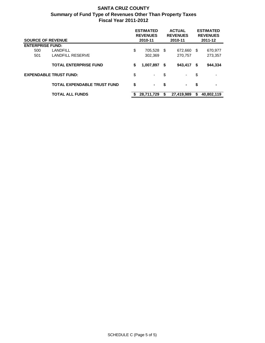| <b>SOURCE OF REVENUE</b> |                                    | <b>ESTIMATED</b><br><b>REVENUES</b><br>2010-11 | <b>ACTUAL</b><br><b>REVENUES</b><br>2010-11 |            | <b>ESTIMATED</b><br><b>REVENUES</b><br>2011-12 |            |
|--------------------------|------------------------------------|------------------------------------------------|---------------------------------------------|------------|------------------------------------------------|------------|
| <b>ENTERPRISE FUND:</b>  |                                    |                                                |                                             |            |                                                |            |
| 500                      | LANDFILL                           | \$<br>705,528 \$                               |                                             | 672,660    | \$                                             | 670,977    |
| 501                      | <b>LANDFILL RESERVE</b>            | 302,369                                        |                                             | 270,757    |                                                | 273,357    |
|                          | <b>TOTAL ENTERPRISE FUND</b>       | \$<br>1,007,897                                | -S                                          | 943,417    | S.                                             | 944,334    |
|                          | <b>EXPENDABLE TRUST FUND:</b>      | \$<br>۰.                                       | \$                                          | ۰.         | \$                                             |            |
|                          | <b>TOTAL EXPENDABLE TRUST FUND</b> | \$<br>$\blacksquare$                           | \$                                          | ۰          | \$                                             | ۰          |
|                          | <b>TOTAL ALL FUNDS</b>             | 28,711,729                                     | S                                           | 27,419,989 | S                                              | 40,802,119 |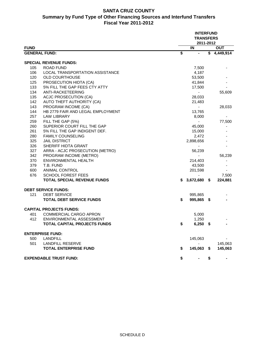#### **SANTA CRUZ COUNTY Summary by Fund Type of Other Financing Sources and Interfund Transfers Fiscal Year 2011-2012**

|                      |                                     |                 | <b>INTERFUND</b><br><b>TRANSFERS</b><br>2011-2012 |                        |
|----------------------|-------------------------------------|-----------------|---------------------------------------------------|------------------------|
| <b>FUND</b>          |                                     |                 | $\overline{\mathsf{I}}$                           | <b>OUT</b>             |
| <b>GENERAL FUND:</b> |                                     | $\overline{\$}$ |                                                   | $\overline{1,449,914}$ |
|                      | <b>SPECIAL REVENUE FUNDS:</b>       |                 |                                                   |                        |
| 105                  | <b>ROAD FUND</b>                    |                 | 7,500                                             |                        |
| 106                  | LOCAL TRANSPORTATION ASSISTANCE     |                 | 4,187                                             |                        |
| 120                  | <b>OLD COURTHOUSE</b>               |                 | 53,500                                            |                        |
| 125                  | PROSECUTION HIDTA (CA)              |                 | 41,844                                            |                        |
| 133                  | 5% FILL THE GAP FEES CTY ATTY       |                 | 17,500                                            |                        |
| 134                  | ANTI-RACKETEERING                   |                 |                                                   | 55,609                 |
| 135                  | ACJC PROSECUTION (CA)               |                 | 28,033                                            |                        |
| 142                  | AUTO THEFT AUTHORITY (CA)           |                 | 21,483                                            |                        |
| 143                  | PROGRAM INCOME (CA)                 |                 |                                                   | 28,033                 |
| 144                  | HB 2779 FAIR AND LEGAL EMPLOYMENT   |                 | 13,765                                            |                        |
| 257                  | <b>LAW LIBRARY</b>                  |                 | 8,000                                             |                        |
| 259                  | FILL THE GAP (5%)                   |                 |                                                   | 77,500                 |
| 260                  | SUPERIOR COURT FILL THE GAP         |                 | 45,000                                            |                        |
| 261                  | 5% FILL THE GAP INDIGENT DEF.       |                 | 15,000                                            |                        |
| 280                  | <b>FAMILY COUNSELING</b>            |                 | 2,472                                             |                        |
| 325                  | <b>JAIL DISTRICT</b>                |                 | 2,898,656                                         |                        |
| 326                  | SHERIFF HIDTA GRANT                 |                 | ٠                                                 |                        |
| 327                  | ARRA - ACJC PROSECUTION (METRO)     |                 | 56,239                                            |                        |
| 342                  | PROGRAM INCOME (METRO)              |                 |                                                   | 56,239                 |
| 370                  | <b>ENVIRONMENTAL HEALTH</b>         |                 | 214,403                                           |                        |
| 379                  | T.B. FUND                           |                 | 43,500                                            |                        |
| 600                  | <b>ANIMAL CONTROL</b>               |                 | 201,598                                           |                        |
| 676                  | <b>SCHOOL FOREST FEES</b>           |                 | ٠                                                 | 7,500                  |
|                      | <b>TOTAL SPECIAL REVENUE FUNDS</b>  | S.              | 3,672,680 \$                                      | 224,881                |
|                      | <b>DEBT SERVICE FUNDS:</b>          |                 |                                                   |                        |
| 121                  | <b>DEBT SERVICE</b>                 |                 | 995,865                                           |                        |
|                      | <b>TOTAL DEBT SERVICE FUNDS</b>     | \$              | 995,865 \$                                        |                        |
|                      | <b>CAPITAL PROJECTS FUNDS:</b>      |                 |                                                   |                        |
| 401                  | <b>COMMERCIAL CARGO APRON</b>       |                 | 5,000                                             |                        |
| 412                  | ENVIRONMENTAL ASSESSMENT            |                 | 1,250                                             |                        |
|                      | <b>TOTAL CAPITAL PROJECTS FUNDS</b> | \$              | $6,250$ \$                                        |                        |
|                      | <b>ENTERPRISE FUND:</b>             |                 |                                                   |                        |
| 500                  | <b>LANDFILL</b>                     |                 | 145,063                                           |                        |
| 501                  | <b>LANDFILL RESERVE</b>             |                 |                                                   | 145,063                |
|                      | <b>TOTAL ENTERPRISE FUND</b>        | \$              | 145,063 \$                                        | 145,063                |
|                      | <b>EXPENDABLE TRUST FUND:</b>       | \$              |                                                   | \$                     |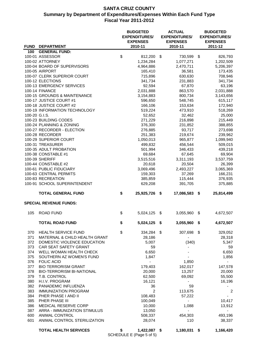|               |                                                   |               | <b>BUDGETED</b><br><b>EXPENDITURES/</b><br><b>EXPENSES</b> | <b>ACTUAL</b><br><b>EXPENDITURES/</b><br><b>EXPENSES</b> |     | <b>BUDGETED</b><br><b>EXPENDITURES/</b><br><b>EXPENSES</b> |
|---------------|---------------------------------------------------|---------------|------------------------------------------------------------|----------------------------------------------------------|-----|------------------------------------------------------------|
|               | <b>FUND DEPARTMENT</b>                            |               | 2010-11                                                    | 2010-11                                                  |     | 2011-12                                                    |
| 100           | <b>GENERAL FUND:</b>                              |               |                                                            |                                                          |     |                                                            |
|               | 100-01 ASSESSOR                                   | \$            | 812,200                                                    | \$<br>730,599                                            | \$  | 826,793                                                    |
|               | 100-02 ATTORNEY<br>100-04 BOARD OF SUPERVISORS    |               | 1,234,284<br>4,964,886                                     | 1,077,271<br>2,470,711                                   |     | 1,202,509                                                  |
|               | 100-05 AIRPORT                                    |               | 165,410                                                    | 36,581                                                   |     | 5,206,397<br>173,435                                       |
|               | 100-07 CLERK SUPERIOR COURT                       |               | 715,896                                                    | 630,630                                                  |     | 708,946                                                    |
|               | 100-12 ELECTIONS                                  |               | 341,734                                                    | 231,883                                                  |     | 341,734                                                    |
|               | 100-13 EMERGENCY SERVICES                         |               | 92,594                                                     | 67,870                                                   |     | 63,196                                                     |
|               | 100-14 FINANCE                                    |               | 2,031,888                                                  | 863,570                                                  |     | 2,031,888                                                  |
|               | 100-15 GROUNDS & MAINTENANCE                      |               | 3,154,883                                                  | 800,734                                                  |     | 3,143,656                                                  |
|               | 100-17 JUSTICE COURT #1                           |               | 596,650                                                    | 548,745                                                  |     | 615,117                                                    |
|               | 100-18 JUSTICE COURT #2                           |               | 166,106                                                    | 153,634                                                  |     | 172,940                                                    |
|               | 100-19 INFORMATION TECHNOLOGY                     |               | 519,224                                                    | 473,910                                                  |     | 518,269                                                    |
| 100-20 G.I.S. |                                                   |               | 52,652                                                     | 32,462                                                   |     | 25,000                                                     |
|               | 100-23 BUILDING CODES                             |               | 271,229                                                    | 216,898                                                  |     | 215,449                                                    |
|               | 100-24 PLANNING & ZONING                          |               | 376,300                                                    | 231,852                                                  |     | 388,855                                                    |
|               | 100-27 RECORDER - ELECTION                        |               | 276,885                                                    | 93,717                                                   |     | 273,698                                                    |
|               | 100-28 RECORDER                                   |               | 251,383                                                    | 219,674                                                  |     | 239,962                                                    |
|               | 100-29 SUPERIOR COURT                             |               | 1,050,013                                                  | 965,877                                                  |     | 1,099,940                                                  |
|               | 100-31 TREASURER                                  |               | 499,832                                                    | 456,544                                                  |     | 509,015                                                    |
|               | 100-35 ADULT PROBATION                            |               | 501,994                                                    | 346,433                                                  |     | 439,218                                                    |
|               | 100-38 CONSTABLE #1                               |               | 69,684                                                     | 67,645                                                   |     | 69,904                                                     |
|               | 100-39 SHERIFF                                    |               | 3,515,516                                                  | 3,311,193                                                |     | 3,537,759                                                  |
|               | 100-44 CONSTABLE #2                               |               | 20,618                                                     | 20,504                                                   |     | 26,399                                                     |
|               | 100-61 PUBLIC FIDUCIARY<br>100-63 CENTRAL PERMITS |               | 3,069,496                                                  | 2,493,227<br>37,269                                      |     | 3,065,369                                                  |
|               | 100-83 RECREATION                                 |               | 159,303<br>385,859                                         | 115,444                                                  |     | 166,231<br>376,935                                         |
|               | 100-91 SCHOOL SUPERINTENDENT                      |               | 629,208                                                    | 391,705                                                  |     | 375,885                                                    |
|               |                                                   |               |                                                            |                                                          |     |                                                            |
|               | <b>TOTAL GENERAL FUND</b>                         | \$            | 25,925,726                                                 | \$<br>17,086,583                                         | \$  | 25,814,499                                                 |
|               | <b>SPECIAL REVENUE FUNDS:</b>                     |               |                                                            |                                                          |     |                                                            |
| 105           | <b>ROAD FUND</b>                                  | $\frac{1}{2}$ | 5,024,125 \$                                               | 3,055,960                                                | \$  | 4,672,507                                                  |
|               | <b>TOTAL ROAD FUND</b>                            | \$            | 5,024,125                                                  | \$<br>3,055,960                                          | -\$ | 4,672,507                                                  |
| 370           | <b>HEALTH SERVICE FUND</b>                        | \$            | 334,284                                                    | \$<br>307,698 \$                                         |     | 329,052                                                    |
| 371           | MATERNAL & CHILD HEALTH GRANT                     |               | 28,186                                                     |                                                          |     | 28,318                                                     |
| 372           | DOMESTIC VIOLENCE EDUCATION                       |               | 5,007                                                      | (340)                                                    |     | 5,347                                                      |
| 373           | CAR SEAT SAFETY GRANT                             |               | 59                                                         |                                                          |     | 59                                                         |
| 374           | WELL WOMAN HEALTH CHECK                           |               | 6,650                                                      |                                                          |     | 6,650                                                      |
| 375           | SOUTHERN AZ WOMEN'S FUND                          |               | 1,847                                                      |                                                          |     | 1,856                                                      |
| 376           | <b>FOLIC ACID</b>                                 |               |                                                            | 1,850                                                    |     |                                                            |
| 377           | <b>BIO TERRORISM GRANT</b>                        |               | 179,403                                                    | 162,017                                                  |     | 147,578                                                    |
| 378           | <b>BIO-TERRORISM BI-NATIONAL</b>                  |               | 20,000                                                     | 13,257                                                   |     | 20,000                                                     |
| 379           | T.B. CONTROL                                      |               | 62,500                                                     | 69,092                                                   |     | 55,500                                                     |
| 380           | H.I.V. PROGRAM                                    |               | 16,121                                                     | $\blacksquare$                                           |     | 16,196                                                     |
| 382           | PANADEMIC INFLUENZA                               |               | 36                                                         | 59                                                       |     | ٠                                                          |
| 383           | <b>IMMUNIZATION PROGRAM</b>                       |               | 2                                                          | 113,675                                                  |     | 2                                                          |
| 384           | PHER PHASE I AND II                               |               | 108,483                                                    | 57,222                                                   |     | $\blacksquare$                                             |
| 385           | PHER PHASE III                                    |               | 100,049                                                    |                                                          |     | 10,417                                                     |
| 386           | MEDICAL RESERVE CORP                              |               | 10,000                                                     | 1,088                                                    |     | 13,912                                                     |
| 387           | ARRA - IMMUNIZATION STIMULUS                      |               | 13,050                                                     | $\blacksquare$                                           |     |                                                            |
| 600           | <b>ANIMAL CONTROL</b>                             |               | 508,337                                                    | 454,303                                                  |     | 493,196                                                    |
| 601           | ANIMAL CONTROL STERILIZATION                      |               | 28,074                                                     | 110                                                      |     | 38,337                                                     |
|               | <b>TOTAL HEALTH SERVICES</b>                      | \$            | 1,422,087 \$                                               | 1,180,031                                                | \$  | 1,166,420                                                  |

SCHEDULE E (Page 5 of 5)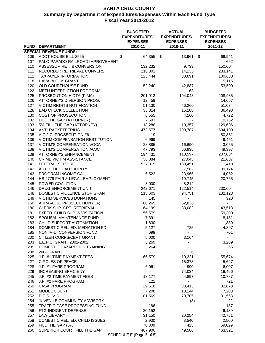|     | <b>FUND DEPARTMENT</b>            | <b>BUDGETED</b><br><b>EXPENDITURES/</b><br><b>EXPENSES</b><br>2010-11 | <b>ACTUAL</b><br><b>EXPENDITURES/</b><br><b>EXPENSES</b><br>2010-11 | <b>BUDGETED</b><br><b>EXPENDITURES/</b><br><b>EXPENSES</b><br>2011-12 |
|-----|-----------------------------------|-----------------------------------------------------------------------|---------------------------------------------------------------------|-----------------------------------------------------------------------|
|     | <b>SPECIAL REVENUE FUNDS:</b>     |                                                                       |                                                                     |                                                                       |
|     |                                   |                                                                       |                                                                     |                                                                       |
| 106 | ADOT HOUSE BILL 2565              | \$<br>64,355 \$                                                       | 13,961                                                              | 69,941<br>\$                                                          |
| 107 | PALO PARADO RAILROAD IMPROVEMENT  |                                                                       |                                                                     | 662                                                                   |
| 110 | ASSESSOR RET. & CONVERSION        | 132,232                                                               | 9,733                                                               | 150,604                                                               |
| 111 | RECORDER RETRIEVAL CONVERS.       | 218,301                                                               | 14,133                                                              | 233,141                                                               |
| 112 | <b>TAXPAYER INFORMATION</b>       | 123,444                                                               | 30,691                                                              | 100,638                                                               |
| 118 | <b>HAVA BLOCK GRANT</b>           | $\blacksquare$                                                        | $\sim$                                                              | 15,115                                                                |
| 120 | OLD COURTHOUSE FUND               | 52,240                                                                | 42,887                                                              | 53,500                                                                |
| 122 | METH INTERDICTION PROGRAM         | $\sim$                                                                | 63                                                                  |                                                                       |
| 125 | PROSECUTION HIDTA (PIMA)          | 201,913                                                               | 194,043                                                             | 208,985                                                               |
| 126 | ATTORNEY'S DIVERSION PROG.        | 12,459                                                                | $\sim$                                                              | 14,057                                                                |
| 127 | <b>VICTIM RIGHTS NOTIFICATION</b> | 51,130                                                                | 46,260                                                              | 51,034                                                                |
| 128 | <b>BAD CHECK COLLECTION</b>       | 35,814                                                                | 15,108                                                              | 36,493                                                                |
| 130 | COST OF PROSECUTION               | 6,555                                                                 | 4,160                                                               | 4,722                                                                 |
| 132 | FILL THE GAP (ATTORNEY)           | 7,693                                                                 |                                                                     | 10,762                                                                |
| 133 | 5% FILL THE GAP (ATTORNEY)        | 118,286                                                               | 10,357                                                              | 129,606                                                               |
| 134 | ANTI-RACKETEERING                 | 473,577                                                               | 799,787                                                             | 694,109                                                               |
| 135 | A.C.J.C. PROSECUTION #6           | 19                                                                    |                                                                     | 80,881                                                                |
| 136 | VICTIM COMPENSATION RESTITUTION   | 6,969                                                                 |                                                                     | 9,451                                                                 |
| 137 | <b>VICTIM'S COMPENSATION VOCA</b> | 28,885                                                                | 16,690                                                              | 3,055                                                                 |
| 138 | VICTIM'S COMPENSATION ACJC        | 47,793                                                                | 56,935                                                              | 49,397                                                                |
| 139 | <b>ATTORNEY'S ENHANCEMENT</b>     | 194,431                                                               | 110,597                                                             | 207,834                                                               |
| 140 | <b>CRIME VICTIM ASSISTANCE</b>    | 36,084                                                                | 27,043                                                              | 21,637                                                                |
| 141 | <b>FEDERAL SEIZURE</b>            | 527,819                                                               | 189,451                                                             | 11,418                                                                |
| 142 | AUTO THEFT AUTHORITY              | $\sim$                                                                | 7,582                                                               | 39,174                                                                |
| 143 | PROGRAM INCOME-CA                 | 6,522                                                                 | 23,965                                                              | 4,052                                                                 |
| 144 | HB 2779 FAIR & LEGAL EMPLOYMENT   | $\sim$                                                                | 19,745                                                              | 20,765                                                                |
| 145 | POWER COALITION                   | 8,000                                                                 | 8,212                                                               | $\sim$                                                                |
| 146 | DRUG ENFORCEMENT UNIT             | 242,671                                                               | 122,514                                                             | 230,604                                                               |
| 148 | DOMESTIC VIOLENCE STOP GRANT      | 115,603                                                               | 94,751                                                              | 132,128                                                               |
| 149 | <b>VICTIM SERVICES DONATIONS</b>  | 145                                                                   |                                                                     | 920                                                                   |
| 150 | ARRA-ACJC PROSECUTION (CA)        | 80,265                                                                | 52,838                                                              |                                                                       |
| 180 | CLERK SUP. CRT. RETRIEVAL         | 64,199                                                                | 38,082                                                              | 43,513                                                                |
| 181 | EXPED. CHILD SUP. & VISITATION    | 56,579                                                                | $\overline{\phantom{a}}$                                            | 59,300                                                                |
| 182 | SPOUSAL MAINTENANCE FUND          | 7,391                                                                 |                                                                     | 8,131                                                                 |
| 183 | CHILD SUPPORT AUTOMATION          | 1,830                                                                 |                                                                     | 1,839                                                                 |
| 184 | DOMESTIC REL. ED. MEDIATION FD    | 5,127                                                                 | 725                                                                 | 4,897                                                                 |
| 185 | NON IV-D CONVERSION FUND          | 698                                                                   | $\sim$                                                              | 701                                                                   |
| 200 | CITIZEN CORPS/CERT GRANT          | 5,000                                                                 | 3,164                                                               |                                                                       |
| 203 | L.E.P.C. GRANT 2001-2002          | 3,269                                                                 |                                                                     | 3,269                                                                 |
| 205 | DOMESTIC HAZARDOUS TRAINING       | 264                                                                   |                                                                     | 265                                                                   |
| 208 | 2008 GRANT                        |                                                                       | 36                                                                  |                                                                       |
| 225 | J.P. #1 TIME PAYMENT FEES         | 66,579                                                                | 10,221                                                              | 55,674                                                                |
| 227 | <b>CIRCLES OF PEACE</b>           | $\sim$                                                                | 15,373                                                              | 5,627                                                                 |
| 228 | J.P. #1 FARE PROGRAM              | 6,061                                                                 | 990                                                                 | 6,007                                                                 |
| 229 | <b>INCREASING EFFICIENY</b>       | $\sim$                                                                | 74,034                                                              | 18,466                                                                |
| 245 | J.P. #2 TIME PAYMENT FEES         | 13,177                                                                | 4,897                                                               | 10,787                                                                |
| 246 | J.P. #2 FARE PROGRAM              | 121                                                                   | $\sim$                                                              | 721                                                                   |
| 250 | <b>CASA PROGRAM</b>               | 29,518                                                                | 30,413                                                              | 32,878                                                                |
| 251 | MODEL COURT                       | 7,208                                                                 | 10,144                                                              | 7,208                                                                 |
| 252 | D.E.S. IV-D                       | 81,569                                                                | 70,705                                                              |                                                                       |
| 254 | JUVENILE COMMUNITY ADVISORY       | $\sim$                                                                |                                                                     | 81,568<br>22                                                          |
| 255 | TRAFFIC CASE PROCESSING FUND      | 186                                                                   | (8)                                                                 | 187                                                                   |
|     |                                   |                                                                       |                                                                     |                                                                       |
| 256 | FTG-INDIGENT DEFENSE              | 20,152                                                                |                                                                     | 6,139                                                                 |
| 257 | <b>LAW LIBRARY</b>                | 31,150                                                                | 20,254                                                              | 40,751                                                                |
| 258 | DOMESTIC REL. ED. CHILD ISSUES    | 2,930                                                                 | 3,540                                                               | 2,500                                                                 |
| 259 | FILL THE GAP (5%)                 | 78,309                                                                | 423                                                                 | 69,829                                                                |
| 260 | SUPERIOR COURT FILL THE GAP       | 467,900                                                               | 49,586                                                              | 463,321                                                               |

SCHEDULE E (Page 5 of 5)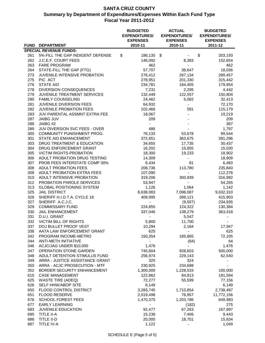| <b>FUND</b> | <b>DEPARTMENT</b>                                 | <b>BUDGETED</b><br><b>EXPENDITURES/</b><br><b>EXPENSES</b><br>2010-11 | <b>ACTUAL</b><br><b>EXPENDITURES/</b><br><b>EXPENSES</b><br>2010-11 | <b>BUDGETED</b><br><b>EXPENDITURES/</b><br><b>EXPENSES</b><br>2011-12 |
|-------------|---------------------------------------------------|-----------------------------------------------------------------------|---------------------------------------------------------------------|-----------------------------------------------------------------------|
|             | <b>SPECIAL REVENUE FUNDS:</b>                     |                                                                       |                                                                     |                                                                       |
| 261         | 5% FILL THE GAP INDIGENT DEFENSE                  | \$<br>186,135                                                         | \$                                                                  | 203,193<br>\$                                                         |
| 262         | J.C.E.F. COURT FEES                               | 146,092                                                               | 8,383                                                               | 152,654                                                               |
| 263         | <b>FARE PROGRAM</b>                               | 462                                                                   | $\overline{\phantom{a}}$                                            | 462                                                                   |
| 264         | STATE-FILL THE GAP (FTG)                          | 57,707                                                                | 38,647                                                              | 18,036                                                                |
| 273         | JUVENILE INTENSIVE PROBATION                      | 276,412                                                               | 267,134                                                             | 289,457                                                               |
| 275         | PIC ACT                                           | 278,951                                                               | 201,330                                                             | 315,442                                                               |
| 276         | <b>STATE AID</b>                                  | 234,781                                                               | 164,405                                                             | 179,954                                                               |
| 278         | <b>DIVERSION CONSEQUENCES</b>                     | 7,231                                                                 | 2,295                                                               | 4,442                                                                 |
| 279         | JUVENILE TREATMENT SERVICES                       | 132,449                                                               | 122,557                                                             | 150,804                                                               |
| 280         | <b>FAMILY COUNSELING</b>                          | 24,462                                                                | 5,082                                                               | 32,413                                                                |
| 281         | JUVENILE DIVERSION FEES                           | 64,932                                                                |                                                                     | 72,170                                                                |
| 282         | <b>JUVENILE PROBATION FEES</b>                    | 102,466                                                               | 591                                                                 | 115,179                                                               |
| 283         | JUV PARENTAL ASSMNT EXTRA FEE                     | 18,067                                                                |                                                                     | 19,219                                                                |
| 287         | <b>JAIBG JUV</b>                                  | 209                                                                   |                                                                     | 209                                                                   |
| 288         | JAIBG #2                                          |                                                                       |                                                                     | 387                                                                   |
| 289         | JUV DIVERSION SVC FEES - OVER                     | 486                                                                   |                                                                     | 1,797                                                                 |
| 300         | COMMUNITY PUNISHMENT PROG.                        | 76,133                                                                | 53,678                                                              | 99,544                                                                |
| 301         | STATE AID ENHANCEMENT                             | 372,651                                                               | 363,675                                                             | 391,296                                                               |
| 303         | DRUG TREATMENT & EDUCATION                        | 34,655                                                                | 17,735                                                              | 30,437                                                                |
| 304         | DRUG ENFORCEMENT GRANT                            | 16,202                                                                | 15,655                                                              | 15,030                                                                |
| 305         | <b>VICTIM RIGHTS-PROBATION</b>                    | 18,300                                                                | 19,233                                                              | 18,902                                                                |
| 306         | ADULT PROBATION DRUG TESTING                      | 14,309                                                                |                                                                     | 18,909                                                                |
| 307         | PROB FEES INTERSTATE COMP 30%                     | 6,434                                                                 | 81                                                                  | 6,483                                                                 |
| 308         | <b>ADULT PROBATION FEES</b>                       | 208,736                                                               | 113,780                                                             | 235,840                                                               |
| 309         | ADULT PROBATION EXTRA FEES                        | 107,090                                                               | $\blacksquare$                                                      | 112,276                                                               |
| 310         | ADULT INTENSIVE PROBATION                         | 319,206                                                               | 300,939                                                             | 316,992                                                               |
| 312         | PROBATION PAROLE SERVICES                         | 53,947                                                                |                                                                     | 54,265                                                                |
| 313         | <b>GLOBAL POSITIONING SYSTEM</b>                  | 1,126                                                                 | 1,064                                                               | 1,142                                                                 |
| 325         | <b>JAIL DISTRICT</b>                              | 8,638,083                                                             | 7,098,087                                                           | 9,632,310                                                             |
| 326         | SHERIFF H.I.D.T.A. CYCLE 18                       | 409,995                                                               | 399,121                                                             | 415,903                                                               |
| 327         | SHERIFF A.C.J.C.                                  |                                                                       | (9, 507)                                                            | 234,935                                                               |
| 329<br>330  | <b>COMMISSARY FUND</b><br><b>JAIL ENHANCEMENT</b> | 224,855                                                               | 124,322                                                             | 130,384<br>363,418                                                    |
| 331         | D.U.I. GRANT                                      | 337,046                                                               | 138,279<br>5,547                                                    |                                                                       |
| 332         | <b>VICTIM BILL OF RIGHTS</b>                      | 5,800                                                                 | 11,700                                                              |                                                                       |
| 337         | DOJ BULLET PROOF VEST                             | 10,294                                                                | 2,164                                                               | 17,947                                                                |
| 338         | AATA LAW ENFORCEMENT GRANT                        | 625                                                                   |                                                                     | 625                                                                   |
| 342         | PROGRAM INCOME-METRO                              | 150,354                                                               | 165,865                                                             | 72,105                                                                |
| 344         | <b>ANTI-METH INITIATIVE</b>                       |                                                                       | (64)                                                                | 64                                                                    |
| 346         | ACJC/JAG UNDER \$10,000                           | 1,476                                                                 |                                                                     | 1,476                                                                 |
| 347         | OPERATION STONE GARDEN                            | 745,604                                                               | 928,603                                                             | 500,000                                                               |
| 348         | ADULT DETENTION STIMULUS FUND                     | 256,974                                                               | 229,143                                                             | 62,540                                                                |
| 349         | ARRA - JUSTICE ASSISTANCE GRANT                   | 325                                                                   | 324                                                                 |                                                                       |
| 350         | ARRA - ACJC PROSECUTION - MTF                     | 230,925                                                               | 234,698                                                             |                                                                       |
| 352         | BORDER SECURITY ENHANCEMENT                       | 1,300,000                                                             | 1,228,533                                                           | 100,000                                                               |
| 615         | <b>CASE MANAGEMENT</b>                            | 122,862                                                               | 84,813                                                              | 191,594                                                               |
| 625         | <b>WASTE TIRE (ADEQ)</b>                          | 72,277                                                                | 55,599                                                              | 77,156                                                                |
| 626         | SELF HHW/ABOP SITE                                | 6,149                                                                 | $\sim$                                                              | 6,149                                                                 |
| 650         | FLOOD CONTROL DISTRICT                            | 3,283,745                                                             | 1,710,854                                                           | 2,738,497                                                             |
| 651         | <b>FLOOD RESERVE</b>                              | 2,019,498                                                             | 78,957                                                              | 11,772,156                                                            |
| 676         | <b>SCHOOL FOREST FEES</b>                         | 1,470,375                                                             | 1,203,786                                                           | 649,983                                                               |
| 677         | <b>EARLY LEARNING</b>                             |                                                                       | (182)                                                               | 275                                                                   |
| 683         | <b>JUVENILE EDUCATION</b>                         | 92,477                                                                | 67,263                                                              | 167,997                                                               |
| 685         | <b>TITLE II-A</b>                                 | 15,238                                                                | 7,406                                                               | 9,443                                                                 |
| 686         | TITLE II-D                                        | 20,000                                                                | 18,701                                                              | 15,834                                                                |
| 687         | TITLE IV-A                                        | 1,122                                                                 |                                                                     | 1,049                                                                 |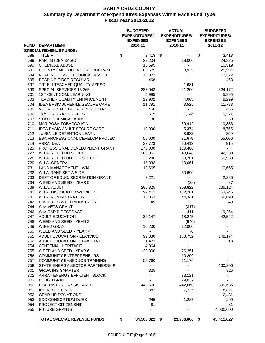|     |                                                         | <b>BUDGETED</b><br><b>EXPENDITURES/</b><br><b>EXPENSES</b><br>2010-11 |                | <b>ACTUAL</b><br><b>EXPENDITURES/</b><br><b>EXPENSES</b> | <b>BUDGETED</b><br><b>EXPENDITURES/</b><br><b>EXPENSES</b> |  |
|-----|---------------------------------------------------------|-----------------------------------------------------------------------|----------------|----------------------------------------------------------|------------------------------------------------------------|--|
|     | <b>FUND DEPARTMENT</b><br><b>SPECIAL REVENUE FUNDS:</b> |                                                                       |                | 2010-11                                                  | 2011-12                                                    |  |
| 688 | TITLE V                                                 | \$                                                                    | $3,413$ \$     |                                                          | \$<br>3,413                                                |  |
| 689 | PART B IDEA BASIC                                       | 23,204                                                                |                | 18,000                                                   | 24,825                                                     |  |
| 690 | <b>CHEMICAL ABUSE</b>                                   | 10,695                                                                |                | -                                                        | 10,519                                                     |  |
| 691 | COUNTY JAIL EDUCATION PROGRAM                           | 88,675                                                                |                | 3,925                                                    | 125,591                                                    |  |
| 694 | READING FIRST-TECHNICAL ASSIST                          | 13,372                                                                |                |                                                          | 13,372                                                     |  |
| 695 | <b>READING FIRST-REGULAR</b>                            |                                                                       | 468            |                                                          | 468                                                        |  |
| 697 | TITLE II-TEACHER QUALITY AZRSC                          | $\blacksquare$                                                        |                | 1,631                                                    |                                                            |  |
| 699 | SPECIAL SERVICES 15-365                                 | 287,943                                                               |                | 21,200                                                   | 324,172                                                    |  |
| 701 | 1ST CENT COM. LEARNING                                  | 5,995                                                                 |                | $\sim$                                                   | 5,995                                                      |  |
| 703 | TEACHER QUALITY ENHANCEMENT                             | 12,902                                                                |                | 4,603                                                    | 8,299                                                      |  |
| 704 | <b>IDEA BASIC JUVENILE SECURE CARE</b>                  | 11,791                                                                |                | 3,525                                                    | 11,788                                                     |  |
| 705 | <b>VOCATIONAL EDUCATION GUIDANCE</b>                    |                                                                       | 456            | $\blacksquare$                                           | 456                                                        |  |
| 706 | <b>TAYLOR GRAZING FEES</b>                              | 5,619                                                                 |                | 1,144                                                    | 6,371                                                      |  |
| 707 | STATE CHEMICAL ABUSE                                    |                                                                       | 30             |                                                          | 30                                                         |  |
| 710 | MARIPOSA TOBACCO IGA                                    |                                                                       |                | 39,412                                                   | 10,886                                                     |  |
| 711 | <b>IDEA BASIC ADULT SECURE CARE</b>                     | 10,000                                                                |                | 5,374                                                    | 8,755                                                      |  |
| 712 | JUVENILE DETENTION LEARN                                |                                                                       |                | 8,683                                                    | 399                                                        |  |
| 713 | ESA PROFESSIONAL DEVELOP PROJECT                        | 55,000                                                                |                | 31,679                                                   | 55,000                                                     |  |
| 714 | ARRA IDEA                                               | 23,723                                                                |                | 20,412                                                   | 916                                                        |  |
| 725 | PROFESSIONAL DEVELOPMENT GRANT                          | 170,000                                                               |                | 110,486                                                  |                                                            |  |
| 727 | W.I.A. YOUTH IN SCHOOL                                  | 186,361                                                               |                | 243,648                                                  | 142,239                                                    |  |
| 728 | W.I.A. YOUTH OUT OF SCHOOL                              | 23,290                                                                |                | 58,761                                                   | 60,960                                                     |  |
| 729 | W.I.A. GENERAL                                          | 15,033                                                                |                | 10,061                                                   |                                                            |  |
| 731 | LAND MANAGEMENT - WIA                                   | 10,665                                                                |                | $\sim$                                                   | 10,665                                                     |  |
| 732 | W.I.A. TANF SET A SIDE                                  |                                                                       | $\sim$         | 30,690                                                   | ۰.                                                         |  |
| 733 | DEPT OF EDUC. RECREATION GRANT                          | 2,221                                                                 |                |                                                          | 2,286                                                      |  |
| 734 | WEED AND SEED - YEAR 5                                  |                                                                       | $\sim$         | (38)                                                     | 37                                                         |  |
| 739 | W.I.A. ADULT                                            | 295,825                                                               |                | 308,822                                                  | 235,124                                                    |  |
| 740 | W.I.A. DISLOCATED WORKER                                | 97,411                                                                |                | 182,261                                                  | 163,745                                                    |  |
| 741 | W.I.A. ADMINISTRATION                                   | 10,053                                                                |                | 44,341                                                   | 66,898                                                     |  |
| 742 | PROJECTS WITH INDUSTRIES                                |                                                                       | 49             |                                                          | 49                                                         |  |
| 744 | WIA VETS GRANT                                          |                                                                       |                | (317)                                                    |                                                            |  |
| 746 | WIA RAPID RESPONSE                                      |                                                                       |                | 411                                                      | 19,264                                                     |  |
| 747 | <b>ADULT EDUCATION</b>                                  | 30,147                                                                |                | 18,245                                                   | 42,542                                                     |  |
| 748 | WEED AND SEED - YEAR 2                                  |                                                                       |                | (940)                                                    |                                                            |  |
| 749 | <b>WIRED GRANT</b>                                      | 10,200                                                                |                | 12,000                                                   |                                                            |  |
| 750 | WEED AND SEED - YEAR 4                                  |                                                                       |                | 76                                                       |                                                            |  |
| 751 | ADULT EDUCATION - EL/CIVICS                             | 92,830                                                                |                | 108,752                                                  | 148,174                                                    |  |
| 752 | ADULT EDUCATION - ELAA STATE                            | 1,472                                                                 |                |                                                          | 13                                                         |  |
| 754 | <b>CENTENIAL HERITAGE</b>                               | 4,964                                                                 |                |                                                          |                                                            |  |
| 755 | WEED AND SEED - YEAR 6                                  | 130,000                                                               |                | 76,251                                                   |                                                            |  |
| 756 | <b>COMMUNITY ENTREPRENEURS</b>                          |                                                                       | $\sim$         | 10,200                                                   |                                                            |  |
| 757 | <b>COMMUNITY BASED JOB TRAINING</b>                     | 59,760                                                                |                | 61,176                                                   |                                                            |  |
| 758 | STATE ENERGY SECTOR PARTNERSHIP                         |                                                                       | $\sim$         |                                                          | 130,206                                                    |  |
| 801 | <b>GROWING SMARTER</b>                                  |                                                                       | 325            |                                                          | 325                                                        |  |
| 802 | ARRA - ENERGY EFFICIENT BLOCK                           |                                                                       |                | 33,121                                                   |                                                            |  |
| 803 | CDBG 119-10                                             |                                                                       |                | 29,037                                                   |                                                            |  |
| 950 | FIRE DISTRICT ASSISTANCE                                | 442,660                                                               |                | 442,660                                                  | 399,636                                                    |  |
| 951 | <b>INDIRECT COSTS</b>                                   |                                                                       | 2,082          | 7,725                                                    | 8,821                                                      |  |
| 952 | <b>GEAR-UP DONATIONS</b>                                |                                                                       | $\blacksquare$ |                                                          | 2,431                                                      |  |
| 953 | <b>SCC CONSORTIUM DUES</b>                              |                                                                       | 245            | 1,235                                                    | 290                                                        |  |
| 954 | PROJECT CITIZENSHIP                                     |                                                                       | 81             |                                                          | 81                                                         |  |
| 955 | <b>FUTURE GRANTS</b>                                    |                                                                       |                |                                                          | 4,000,000                                                  |  |
|     | <b>TOTAL SPECIAL REVENUE FUNDS</b>                      | \$<br>34,503,322 \$                                                   |                | 23,908,600 \$                                            | 45,411,027                                                 |  |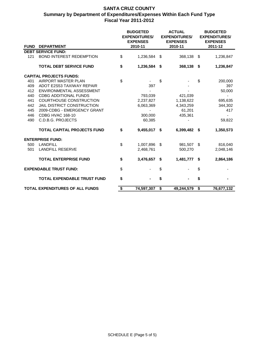|                                 |                                    | <b>ACTUAL</b><br><b>BUDGETED</b><br><b>EXPENDITURES/</b><br><b>EXPENDITURES/</b><br><b>EXPENSES</b><br><b>EXPENSES</b> |            | <b>BUDGETED</b><br><b>EXPENDITURES/</b><br><b>EXPENSES</b> |            |                           |            |
|---------------------------------|------------------------------------|------------------------------------------------------------------------------------------------------------------------|------------|------------------------------------------------------------|------------|---------------------------|------------|
| <b>FUND</b>                     | <b>DEPARTMENT</b>                  | 2010-11                                                                                                                |            | 2010-11                                                    |            | 2011-12                   |            |
|                                 | <b>DEBT SERVICE FUND:</b>          |                                                                                                                        |            |                                                            |            |                           |            |
| 121                             | <b>BOND INTEREST REDEMPTION</b>    | \$                                                                                                                     | 1,236,584  | -\$                                                        | 368,138    | S.                        | 1,236,847  |
|                                 | <b>TOTAL DEBT SERVICE FUND</b>     | \$                                                                                                                     | 1,236,584  | \$                                                         | 368,138    | \$                        | 1,236,847  |
|                                 | <b>CAPITAL PROJECTS FUNDS:</b>     |                                                                                                                        |            |                                                            |            |                           |            |
| 401                             | <b>AIRPORT MASTER PLAN</b>         | \$                                                                                                                     |            | \$                                                         |            | \$                        | 200,000    |
| 409                             | <b>ADOT E2S53 TAXIWAY REPAIR</b>   |                                                                                                                        | 397        |                                                            |            |                           | 397        |
| 412                             | ENVIRONMENTAL ASSESSMENT           |                                                                                                                        |            |                                                            |            |                           | 50,000     |
| 440                             | <b>CDBG ADDITIONAL FUNDS</b>       |                                                                                                                        | 793,039    |                                                            | 421,039    |                           |            |
| 441                             | <b>COURTHOUSE CONSTRUCTION</b>     |                                                                                                                        | 2,237,827  |                                                            | 1,138,622  |                           | 695,635    |
| 442                             | JAIL DISTRICT CONSTRUCTION         |                                                                                                                        | 6,063,369  |                                                            | 4,343,259  |                           | 344,302    |
| 445                             | 2009-CDBG - EMERGENCY GRANT        |                                                                                                                        |            |                                                            | 61,201     |                           | 417        |
| 446                             | CDBG HVAC 168-10                   |                                                                                                                        | 300,000    |                                                            | 435,361    |                           |            |
| 490                             | <b>C.D.B.G. PROJECTS</b>           |                                                                                                                        | 60,385     |                                                            |            |                           | 59,822     |
|                                 | <b>TOTAL CAPITAL PROJECTS FUND</b> | \$                                                                                                                     | 9,455,017  | \$                                                         | 6,399,482  | -S                        | 1,350,573  |
|                                 | <b>ENTERPRISE FUND:</b>            |                                                                                                                        |            |                                                            |            |                           |            |
| 500                             | <b>LANDFILL</b>                    | \$                                                                                                                     | 1,007,896  | \$                                                         | 981,507    | $\boldsymbol{\mathsf{S}}$ | 816,040    |
| 501                             | <b>LANDFILL RESERVE</b>            |                                                                                                                        | 2,468,761  |                                                            | 500,270    |                           | 2,048,146  |
|                                 | <b>TOTAL ENTERPRISE FUND</b>       | \$                                                                                                                     | 3,476,657  | \$                                                         | 1,481,777  | \$                        | 2,864,186  |
|                                 | <b>EXPENDABLE TRUST FUND:</b>      | \$                                                                                                                     |            | \$                                                         |            | \$                        |            |
|                                 | <b>TOTAL EXPENDABLE TRUST FUND</b> | \$                                                                                                                     |            | \$                                                         |            | \$                        |            |
| TOTAL EXPENDITURES OF ALL FUNDS |                                    | \$                                                                                                                     | 74,597,307 | \$                                                         | 49,244,579 | \$                        | 76,677,132 |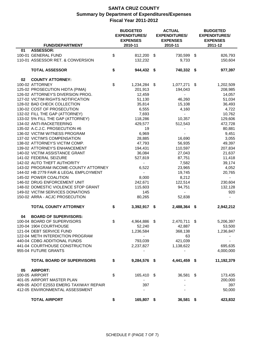|                 | <b>FUND/DEPARTMENT</b>                 | <b>BUDGETED</b><br><b>EXPENDITURES/</b><br><b>EXPENSES</b><br>2010-11 | <b>ACTUAL</b><br><b>EXPENDITURES/</b><br><b>EXPENSES</b><br>2010-11 | <b>BUDGETED</b><br><b>EXPENDITURES/</b><br><b>EXPENSES</b><br>2011-12 |
|-----------------|----------------------------------------|-----------------------------------------------------------------------|---------------------------------------------------------------------|-----------------------------------------------------------------------|
| 01              | <b>ASSESSOR:</b>                       |                                                                       |                                                                     |                                                                       |
|                 | 100-01 GENERAL FUND                    | \$<br>812,200 \$                                                      | 730,599                                                             | \$<br>826,793                                                         |
|                 | 110-01 ASSESSOR RET. & CONVERSION      | 132,232                                                               | 9,733                                                               | 150,604                                                               |
|                 |                                        |                                                                       |                                                                     |                                                                       |
|                 | <b>TOTAL ASSESSOR</b>                  | \$<br>944,432 \$                                                      | 740,332 \$                                                          | 977,397                                                               |
| 02              | <b>COUNTY ATTORNEY:</b>                |                                                                       |                                                                     |                                                                       |
| 100-02 ATTORNEY |                                        | \$<br>1,234,284 \$                                                    | 1,077,271 \$                                                        | 1,202,509                                                             |
|                 | 125-02 PROSECUTION HIDTA (PIMA)        | 201,913                                                               | 194,043                                                             | 208,985                                                               |
|                 | 126-02 ATTORNEY'S DIVERSION PROG.      | 12,459                                                                |                                                                     | 14,057                                                                |
|                 | 127-02 VICTIM RIGHTS NOTIFICATION      | 51,130                                                                | 46,260                                                              | 51,034                                                                |
|                 | 128-02 BAD CHECK COLLECTION            |                                                                       |                                                                     |                                                                       |
|                 |                                        | 35,814                                                                | 15,108                                                              | 36,493                                                                |
|                 | 130-02 COST OF PROSECUTION             | 6,555                                                                 | 4,160                                                               | 4,722                                                                 |
|                 | 132-02 FILL THE GAP (ATTORNEY)         | 7,693                                                                 |                                                                     | 10,762                                                                |
|                 | 133-02 5% FILL THE GAP (ATTORNEY)      | 118,286                                                               | 10,357                                                              | 129,606                                                               |
|                 | 134-02 ANTI-RACKETEERING               | 429,577                                                               | 512,543                                                             | 472,728                                                               |
|                 | 135-02 A.C.J.C. PROSECUTION #6         | 19                                                                    |                                                                     | 80,881                                                                |
|                 | 136-02 VICTIM WITNESS PROGRAM          | 6,969                                                                 |                                                                     | 9,451                                                                 |
|                 | 137-02 VICTIM'S COMPENSATION           | 28,885                                                                | 16,690                                                              | 3,055                                                                 |
|                 | 138-02 ATTORNEY'S VICTIM COMP.         | 47,793                                                                | 56,935                                                              | 49,397                                                                |
|                 | 139-02 ATTORNEY'S ENHANCEMENT          | 194,431                                                               | 110,597                                                             | 207,834                                                               |
|                 | 140-02 VICTIM ASSISTANCE GRANT         | 36,084                                                                | 27,043                                                              | 21,637                                                                |
|                 | 141-02 FEDERAL SEIZURE                 |                                                                       |                                                                     |                                                                       |
|                 |                                        | 527,819                                                               | 87,751                                                              | 11,418                                                                |
|                 | 142-02 AUTO THEFT AUTHORITY            |                                                                       | 7,582                                                               | 39,174                                                                |
|                 | 143-02 PROGRAM INCOME-COUNTY ATTORNEY  | 6,522                                                                 | 23,965                                                              | 4,052                                                                 |
|                 | 144-02 HB 2779 FAIR & LEGAL EMPLOYMENT | $\blacksquare$                                                        | 19,745                                                              | 20,765                                                                |
|                 | 145-02 POWER COALITION                 | 8,000                                                                 | 8,212                                                               |                                                                       |
|                 | 146-02 DRUG ENFORCEMENT UNIT           | 242,671                                                               | 122,514                                                             | 230,604                                                               |
|                 | 148-02 DOMESTIC VIOLENCE STOP GRANT    | 115,603                                                               | 94,751                                                              | 132,128                                                               |
|                 | 149-02 VICTIM SERVICES DONATIONS       | 145                                                                   |                                                                     | 920                                                                   |
|                 | 150-02 ARRA - ACJC PROSECUTION         | 80,265                                                                | 52,838                                                              |                                                                       |
|                 | <b>TOTAL COUNTY ATTORNEY</b>           | \$<br>3,392,917 \$                                                    | 2,488,364 \$                                                        | 2,942,212                                                             |
|                 |                                        |                                                                       |                                                                     |                                                                       |
| 04              | <b>BOARD OF SUPERVISORS:</b>           |                                                                       |                                                                     |                                                                       |
|                 | 100-04 BOARD OF SUPERVISORS            | \$<br>4,964,886 \$                                                    | 2,470,711                                                           | \$<br>5,206,397                                                       |
|                 | 120-04 1904 COURTHOUSE                 | 52,240                                                                | 42,887                                                              | 53,500                                                                |
|                 | 121-04 DEBT SERVICE FUND               | 1,236,584                                                             | 368,138                                                             | 1,236,847                                                             |
|                 | 122-04 METH INTERDICTION PROGRAM       | $\blacksquare$                                                        | 63                                                                  |                                                                       |
|                 | 440-04 CDBG ADDITIONAL FUNDS           | 793,039                                                               | 421,039                                                             |                                                                       |
|                 | 441-04 COURTHOUSE CONSTRUCTION         | 2,237,827                                                             | 1,138,622                                                           | 695,635                                                               |
|                 | 955-04 FUTURE GRANTS                   |                                                                       |                                                                     | 4,000,000                                                             |
|                 |                                        |                                                                       |                                                                     |                                                                       |
|                 | <b>TOTAL BOARD OF SUPERVISORS</b>      | \$<br>9,284,576 \$                                                    | 4,441,459 \$                                                        | 11,192,379                                                            |
| 05              | <b>AIRPORT:</b>                        |                                                                       |                                                                     |                                                                       |
| 100-05 AIRPORT  |                                        | \$<br>165,410 \$                                                      | 36,581 \$                                                           | 173,435                                                               |
|                 | 401-05 AIRPORT MASTER PLAN             |                                                                       |                                                                     | 200,000                                                               |
|                 | 409-05 ADOT E2S53 EMERG TAXIWAY REPAIR | 397                                                                   |                                                                     | 397                                                                   |
|                 | 412-05 ENVIRONMENTAL ASSESSMENT        | $\blacksquare$                                                        |                                                                     | 50,000                                                                |
|                 |                                        |                                                                       |                                                                     |                                                                       |
|                 | <b>TOTAL AIRPORT</b>                   | \$<br>165,807 \$                                                      | 36,581 \$                                                           | 423,832                                                               |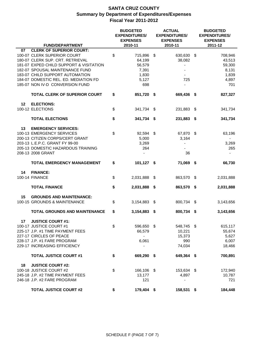|    |                                         | <b>ACTUAL</b><br><b>BUDGETED</b><br><b>EXPENDITURES/</b><br><b>EXPENDITURES/</b><br><b>EXPENSES</b><br><b>EXPENSES</b> |                          | <b>BUDGETED</b><br><b>EXPENDITURES/</b><br><b>EXPENSES</b> |  |           |
|----|-----------------------------------------|------------------------------------------------------------------------------------------------------------------------|--------------------------|------------------------------------------------------------|--|-----------|
|    | <b>FUND/DEPARTMENT</b>                  |                                                                                                                        | 2010-11                  | 2010-11                                                    |  | 2011-12   |
| 07 | <b>CLERK OF SUPERIOR COURT:</b>         |                                                                                                                        |                          |                                                            |  |           |
|    | 100-07 CLERK SUPERIOR COURT             | \$                                                                                                                     | 715,896                  | \$<br>630,630 \$                                           |  | 708,946   |
|    | 180-07 CLERK SUP. CRT. RETRIEVAL        |                                                                                                                        | 64,199                   | 38,082                                                     |  | 43,513    |
|    | 181-07 EXPED CHILD SUPPORT & VISITATION |                                                                                                                        | 56,579                   |                                                            |  | 59,300    |
|    | 182-07 SPOUSAL MAINTENANCE FUND         |                                                                                                                        | 7,391                    |                                                            |  | 8,131     |
|    | 183-07 CHILD SUPPORT AUTOMATION         |                                                                                                                        | 1,830                    |                                                            |  | 1,839     |
|    | 184-07 DOMESTIC REL. ED. MEDIATION FD   |                                                                                                                        | 5,127                    | 725                                                        |  | 4,897     |
|    | 185-07 NON IV-D CONVERSION FUND         |                                                                                                                        | 698                      |                                                            |  | 701       |
|    | <b>TOTAL CLERK OF SUPERIOR COURT</b>    | \$                                                                                                                     | 851,720 \$               | 669,436 \$                                                 |  | 827,327   |
| 12 | <b>ELECTIONS:</b>                       |                                                                                                                        |                          |                                                            |  |           |
|    | 100-12 ELECTIONS                        | \$                                                                                                                     | 341,734 \$               | 231,883 \$                                                 |  | 341,734   |
|    |                                         |                                                                                                                        |                          |                                                            |  |           |
|    | <b>TOTAL ELECTIONS</b>                  | \$                                                                                                                     | 341,734 \$               | 231,883 \$                                                 |  | 341,734   |
| 13 | <b>EMERGENCY SERVICES:</b>              |                                                                                                                        |                          |                                                            |  |           |
|    | 100-13 EMERGENCY SERVICES               | \$                                                                                                                     | 92,594 \$                | 67,870 \$                                                  |  | 63,196    |
|    | 200-13 CITIZEN CORPS/CERT GRANT         |                                                                                                                        | 5,000                    | 3,164                                                      |  |           |
|    | 203-13 L.E.P.C. GRANT FY 99-00          |                                                                                                                        | 3,269                    |                                                            |  | 3,269     |
|    | 205-13 DOMESTIC HAZARDOUS TRAINING      |                                                                                                                        | 264                      |                                                            |  | 265       |
|    | 208-13 2008 GRANT                       |                                                                                                                        |                          | 36                                                         |  | ۰         |
|    | <b>TOTAL EMERGENCY MANAGEMENT</b>       |                                                                                                                        |                          |                                                            |  |           |
|    |                                         | \$                                                                                                                     | 101,127 \$               | 71,069 \$                                                  |  | 66,730    |
| 14 | <b>FINANCE:</b>                         |                                                                                                                        |                          |                                                            |  |           |
|    | 100-14 FINANCE                          | \$                                                                                                                     | 2,031,888                | \$<br>863,570 \$                                           |  | 2,031,888 |
|    |                                         |                                                                                                                        |                          |                                                            |  |           |
|    | <b>TOTAL FINANCE</b>                    | \$                                                                                                                     | 2,031,888 \$             | 863,570 \$                                                 |  | 2,031,888 |
|    |                                         |                                                                                                                        |                          |                                                            |  |           |
| 15 | <b>GROUNDS AND MAINTENANCE:</b>         |                                                                                                                        |                          |                                                            |  |           |
|    | 100-15 GROUNDS & MAINTENANCE            | \$                                                                                                                     | 3,154,883 \$             | 800,734 \$                                                 |  | 3,143,656 |
|    | <b>TOTAL GROUNDS AND MAINTENANCE</b>    | \$                                                                                                                     | 3,154,883 \$             | 800,734 \$                                                 |  | 3,143,656 |
| 17 | <b>JUSTICE COURT #1:</b>                |                                                                                                                        |                          |                                                            |  |           |
|    | 100-17 JUSTICE COURT #1                 | \$                                                                                                                     | 596,650 \$               | 548,745 \$                                                 |  | 615,117   |
|    | 225-17 J.P. #1 TIME PAYMENT FEES        |                                                                                                                        | 66,579                   | 10,221                                                     |  | 55,674    |
|    | 227-17 CIRCLES OF PEACE                 |                                                                                                                        | $\blacksquare$           | 15,373                                                     |  | 5,627     |
|    | 228-17 J.P. #1 FARE PROGRAM             |                                                                                                                        | 6,061                    | 990                                                        |  | 6,007     |
|    | 229-17 INCREASING EFFICIENCY            |                                                                                                                        | $\overline{\phantom{a}}$ | 74,034                                                     |  | 18,466    |
|    |                                         |                                                                                                                        |                          |                                                            |  |           |
|    | <b>TOTAL JUSTICE COURT #1</b>           | \$                                                                                                                     | 669,290 \$               | 649,364 \$                                                 |  | 700,891   |
| 18 | <b>JUSTICE COURT #2:</b>                |                                                                                                                        |                          |                                                            |  |           |
|    | 100-18 JUSTICE COURT #2                 | \$                                                                                                                     | 166,106 \$               | 153,634 \$                                                 |  | 172,940   |
|    | 245-18 J.P. #2 TIME PAYMENT FEES        |                                                                                                                        | 13,177                   | 4,897                                                      |  | 10,787    |
|    | 246-18 J.P. #2 FARE PROGRAM             |                                                                                                                        | 121                      |                                                            |  | 721       |
|    | <b>TOTAL JUSTICE COURT #2</b>           | \$                                                                                                                     | 179,404 \$               | 158,531 \$                                                 |  | 184,448   |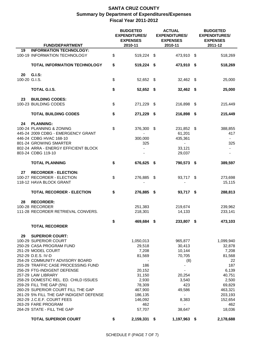|               | <b>FUND/DEPARTMENT</b>                  | <b>BUDGETED</b><br><b>EXPENDITURES/</b><br><b>EXPENSES</b><br>2010-11 |      | <b>ACTUAL</b><br><b>EXPENDITURES/</b><br><b>EXPENSES</b><br>2010-11 | <b>BUDGETED</b><br><b>EXPENDITURES/</b><br><b>EXPENSES</b><br>2011-12 |
|---------------|-----------------------------------------|-----------------------------------------------------------------------|------|---------------------------------------------------------------------|-----------------------------------------------------------------------|
| 19            | <b>INFORMATION TECHNOLOGY:</b>          |                                                                       |      |                                                                     |                                                                       |
|               | 100-19 INFORMATION TECHNOLOGY           | \$<br>519,224 \$                                                      |      | 473,910 \$                                                          | 518,269                                                               |
|               | <b>TOTAL INFORMATION TECHNOLOGY</b>     | \$<br>519,224 \$                                                      |      | 473,910 \$                                                          | 518,269                                                               |
| 20            | G.I.S:                                  |                                                                       |      |                                                                     |                                                                       |
| 100-20 G.I.S. |                                         | \$<br>52,652 \$                                                       |      | $32,462$ \$                                                         | 25,000                                                                |
|               | <b>TOTAL G.I.S.</b>                     | \$<br>52,652 \$                                                       |      | 32,462 \$                                                           | 25,000                                                                |
| 23            | <b>BUILDING CODES:</b>                  |                                                                       |      |                                                                     |                                                                       |
|               | 100-23 BUILDING CODES                   | \$<br>271,229 \$                                                      |      | 216,898 \$                                                          | 215,449                                                               |
|               | <b>TOTAL BUILDING CODES</b>             | \$<br>271,229 \$                                                      |      | 216,898 \$                                                          | 215,449                                                               |
| 24            | <b>PLANNING:</b>                        |                                                                       |      |                                                                     |                                                                       |
|               | 100-24 PLANNING & ZONING                | \$<br>376,300                                                         | - \$ | 231,852 \$                                                          | 388,855                                                               |
|               | 445-24 2009 CDBG - EMERGENCY GRANT      |                                                                       |      | 61,201                                                              | 417                                                                   |
|               | 446-24 CDBG HVAC 168-10                 | 300,000                                                               |      | 435,361                                                             |                                                                       |
|               | 801-24 GROWING SMARTER                  | 325                                                                   |      |                                                                     | 325                                                                   |
|               | 802-24 ARRA - ENERGY EFFICIENT BLOCK    |                                                                       |      | 33,121                                                              |                                                                       |
|               | 803-24 CDBG 119-10                      |                                                                       |      | 29,037                                                              |                                                                       |
|               | <b>TOTAL PLANNING</b>                   | \$<br>676,625 \$                                                      |      | 790,573 \$                                                          | 389,597                                                               |
| 27            | <b>RECORDER - ELECTION:</b>             |                                                                       |      |                                                                     |                                                                       |
|               | 100-27 RECORDER - ELECTION              | \$<br>276,885 \$                                                      |      | 93,717 \$                                                           | 273,698                                                               |
|               | 118-12 HAVA BLOCK GRANT                 |                                                                       |      |                                                                     | 15,115                                                                |
|               | <b>TOTAL RECORDER - ELECTION</b>        | \$<br>276,885 \$                                                      |      | 93,717 \$                                                           | 288,813                                                               |
| 28            | <b>RECORDER:</b>                        |                                                                       |      |                                                                     |                                                                       |
|               | 100-28 RECORDER                         | 251,383                                                               |      | 219,674                                                             | 239,962                                                               |
|               | 111-28 RECORDER RETRIEVAL CONVERS.      | 218,301                                                               |      | 14,133                                                              | 233,141                                                               |
|               |                                         | \$<br>469,684 \$                                                      |      | 233,807 \$                                                          | 473,103                                                               |
|               | <b>TOTAL RECORDER</b>                   |                                                                       |      |                                                                     |                                                                       |
| 29            | <b>SUPERIOR COURT:</b>                  |                                                                       |      |                                                                     |                                                                       |
|               | 100-29 SUPERIOR COURT                   | 1,050,013                                                             |      | 965,877                                                             | 1,099,940                                                             |
|               | 250-29 CASA PROGRAM FUND                | 29,518                                                                |      | 30,413                                                              | 32,878                                                                |
|               | 251-29 MODEL COURT                      | 7,208                                                                 |      | 10,144                                                              | 7,208                                                                 |
|               | 252-29 D.E.S. IV-D                      | 81,569                                                                |      | 70,705                                                              | 81,568                                                                |
|               | 254-29 COMMUNITY ADVISORY BOARD         |                                                                       |      | (8)                                                                 | 22                                                                    |
|               | 255-29 TRAFFIC CASE PROCESSING FUND     | 186                                                                   |      |                                                                     | 187                                                                   |
|               | 256-29 FTG-INDIGENT DEFENSE             | 20,152                                                                |      |                                                                     | 6,139                                                                 |
|               | 257-29 LAW LIBRARY                      | 31,150                                                                |      | 20,254                                                              | 40,751                                                                |
|               | 258-29 DOMESTIC REL. ED. CHILD ISSUES   | 2,930                                                                 |      | 3,540                                                               | 2,500                                                                 |
|               | 259-29 FILL THE GAP (5%)                | 78,309                                                                |      | 423                                                                 | 69,829                                                                |
|               | 260-29 SUPERIOR COURT FILL THE GAP      | 467,900                                                               |      | 49,586                                                              | 463,321                                                               |
|               | 261-29 5% FILL THE GAP INDIGENT DEFENSE | 186,135                                                               |      |                                                                     | 203,193                                                               |
|               | 262-29 J.C.E.F. COURT FEES              | 146,092                                                               |      | 8,383                                                               | 152,654                                                               |
|               | 263-29 FARE PROGRAM                     | 462                                                                   |      |                                                                     | 462                                                                   |
|               | 264-29 STATE - FILL THE GAP             | 57,707                                                                |      | 38,647                                                              | 18,036                                                                |
|               | <b>TOTAL SUPERIOR COURT</b>             | \$<br>2,159,331 \$                                                    |      | 1,197,963 \$                                                        | 2,178,688                                                             |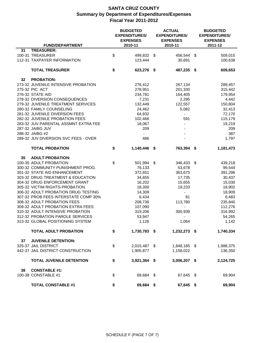|                 |                                      | <b>BUDGETED</b><br><b>EXPENDITURES/</b><br><b>EXPENSES</b> | <b>ACTUAL</b><br><b>EXPENDITURES/</b><br><b>EXPENSES</b> | <b>BUDGETED</b><br><b>EXPENDITURES/</b><br><b>EXPENSES</b> |           |
|-----------------|--------------------------------------|------------------------------------------------------------|----------------------------------------------------------|------------------------------------------------------------|-----------|
|                 | <b>FUND/DEPARTMENT</b>               | 2010-11                                                    | 2010-11                                                  |                                                            | 2011-12   |
| 31              | <b>TREASURER:</b>                    |                                                            |                                                          |                                                            |           |
|                 | 100-31 TREASURER                     | \$<br>499,832 \$                                           | 456,544                                                  | \$                                                         | 509,015   |
|                 | 112-31 TAXPAYER INFORMATION          | 123,444                                                    | 30,691                                                   |                                                            | 100,638   |
|                 | <b>TOTAL TREASURER</b>               | \$<br>623,276 \$                                           | 487,235 \$                                               |                                                            | 609,653   |
| 32              | <b>PROBATION:</b>                    |                                                            |                                                          |                                                            |           |
|                 | 273-32 JUVENILE INTENSIVE PROBATION  | 276,412                                                    | 267,134                                                  |                                                            | 289,457   |
| 275-32 PIC ACT  |                                      | 278,951                                                    | 201,330                                                  |                                                            | 315,442   |
|                 | 276-32 STATE AID                     | 234,781                                                    | 164,405                                                  |                                                            | 179,954   |
|                 | 278-32 DIVERSION CONSEQUENCES        | 7,231                                                      | 2,295                                                    |                                                            | 4,442     |
|                 | 279-32 JUVENILE TREATMENT SERVICES   | 132,449                                                    | 122,557                                                  |                                                            | 150,804   |
|                 | 280-32 FAMILY COUNSELING             | 24,462                                                     | 5,082                                                    |                                                            | 32,413    |
|                 | 281-32 JUVENILE DIVERSION FEES       | 64,932                                                     |                                                          |                                                            | 72,170    |
|                 | 282-32 JUVENILE PROBATION FEES       | 102,466                                                    | 591                                                      |                                                            | 115,179   |
|                 | 283-32 JUV PARENTAL ASSMNT EXTRA FEE | 18,067                                                     | $\blacksquare$                                           |                                                            | 19,219    |
|                 | 287-32 JAIBG JUV                     | 209                                                        |                                                          |                                                            | 209       |
| 288-32 JAIBG #2 |                                      | $\blacksquare$                                             |                                                          |                                                            | 387       |
|                 | 289-32 JUV DIVERSION SVC FEES - OVER | 486                                                        |                                                          |                                                            | 1,797     |
|                 | <b>TOTAL PROBATION</b>               | \$<br>1,140,446 \$                                         | 763,394 \$                                               |                                                            | 1,181,473 |
| 35              | <b>ADULT PROBATION:</b>              |                                                            |                                                          |                                                            |           |
|                 | 100-35 ADULT PROBATION               | \$<br>501,994 \$                                           | 346,433                                                  | - \$                                                       | 439,218   |
|                 | 300-32 COMMUNITY PUNISHMENT PROG.    | 76,133                                                     | 53,678                                                   |                                                            | 99,544    |
|                 | 301-32 STATE AID ENHANCEMENT         | 372,651                                                    | 363,675                                                  |                                                            | 391,296   |
|                 | 303-32 DRUG TREATMENT & EDUCATION    | 34,655                                                     | 17,735                                                   |                                                            | 30,437    |
|                 | 304-32 DRUG ENFORCEMENT GRANT        | 16,202                                                     | 15,655                                                   |                                                            | 15,030    |
|                 | 305-32 VICTIM RIGHTS-PROBATION       | 18,300                                                     | 19,233                                                   |                                                            | 18,902    |
|                 | 306-32 ADULT PROBATION DRUG TESTING  | 14,309                                                     |                                                          |                                                            | 18,909    |
|                 | 307-32 PROB FEES INTERSTATE COMP 30% | 6,434                                                      | 81                                                       |                                                            | 6,483     |
|                 | 308-32 ADULT PROBATION FEES          | 208,736                                                    | 113,780                                                  |                                                            | 235,840   |
|                 | 309-32 ADULT PROBATION EXTRA FEES    | 107,090                                                    |                                                          |                                                            | 112,276   |
|                 | 310-32 ADULT INTENSIVE PROBATION     | 319,206                                                    | 300,939                                                  |                                                            | 316,992   |
|                 | 312-32 PROBATION PAROLE SERVICES     | 53,947                                                     |                                                          |                                                            | 54,265    |
|                 | 313-32 GLOBAL POSITIONING SYSTEM     | 1,126                                                      | 1,064                                                    |                                                            | 1,142     |
|                 | <b>TOTAL ADULT PROBATION</b>         | \$<br>1,730,783 \$                                         | 1,232,273 \$                                             |                                                            | 1,740,334 |
| 37              | <b>JUVENILE DETENTION:</b>           |                                                            |                                                          |                                                            |           |
|                 | 325-37 JAIL DISTRICT                 | \$<br>2,015,487 \$                                         | 1,848,185 \$                                             |                                                            | 1,988,375 |
|                 | 442-37 JAIL DISTRICT CONSTRUCTION    | 1,905,877                                                  | 1,158,022                                                |                                                            | 136,350   |
|                 | <b>TOTAL JUVENILE DETENTION</b>      | \$<br>3,921,364 \$                                         | 3,006,207 \$                                             |                                                            | 2,124,725 |
| 38              | <b>CONSTABLE #1:</b>                 |                                                            |                                                          |                                                            |           |
|                 | 100-38 CONSTABLE #1                  | \$<br>69,684 \$                                            | 67,645 \$                                                |                                                            | 69,904    |
|                 | <b>TOTAL CONSTABLE #1</b>            | \$<br>69,684 \$                                            | 67,645 \$                                                |                                                            | 69,904    |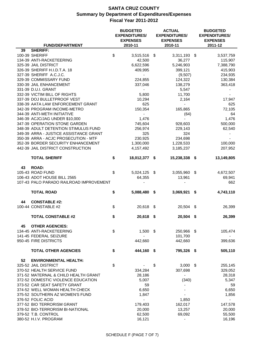| <b>FUND/DEPARTMENT</b>                                             | <b>BUDGETED</b><br><b>EXPENDITURES/</b><br><b>EXPENSES</b><br>2010-11 | <b>ACTUAL</b><br><b>EXPENDITURES/</b><br><b>EXPENSES</b><br>2010-11 |      | <b>BUDGETED</b><br><b>EXPENDITURES/</b><br><b>EXPENSES</b><br>2011-12 |
|--------------------------------------------------------------------|-----------------------------------------------------------------------|---------------------------------------------------------------------|------|-----------------------------------------------------------------------|
| <b>SHERIFF:</b><br>39                                              |                                                                       |                                                                     |      |                                                                       |
| 100-39 SHERIFF                                                     | \$<br>3,515,516                                                       | \$<br>3,311,193                                                     | \$   | 3,537,759                                                             |
| 134-39 ANTI-RACKETEERING                                           | 42,500                                                                | 36,277                                                              |      | 115,907                                                               |
| 325-39 JAIL DISTRICT                                               | 6,622,596                                                             | 5,246,903                                                           |      | 7,388,790                                                             |
| 326-39 SHERIFF H.I.D.T.A. 18                                       | 409,995                                                               | 399,121                                                             |      | 415,903                                                               |
| 327-39 SHERIFF A.C.J.C.                                            | $\blacksquare$                                                        | (9,507)                                                             |      | 234,935                                                               |
| 329-39 COMMISSARY FUND                                             | 224,855                                                               | 124,322                                                             |      | 130,384                                                               |
| 330-39 JAIL ENHANCEMENT                                            |                                                                       |                                                                     |      |                                                                       |
| 331-39 D.U.I. GRANT                                                | 337,046                                                               | 138,279                                                             |      | 363,418                                                               |
|                                                                    |                                                                       | 5,547                                                               |      |                                                                       |
| 332-39 VICTIM BILL OF RIGHTS                                       | 5,800                                                                 | 11,700                                                              |      |                                                                       |
| 337-39 DOJ BULLETPROOF VEST                                        | 10,294                                                                | 2,164                                                               |      | 17,947                                                                |
| 338-39 AATA LAW ENFORCEMENT GRANT                                  | 625                                                                   |                                                                     |      | 625                                                                   |
| 342-39 PROGRAM INCOME-METRO                                        | 150,354                                                               | 165,865                                                             |      | 72,105                                                                |
| 344-39 ANTI-METH INITIATIVE                                        |                                                                       | (64)                                                                |      | 64                                                                    |
| 346-39 ACJC/JAG UNDER \$10,000                                     | 1,476                                                                 |                                                                     |      | 1,476                                                                 |
| 347-39 OPERATION STONE GARDEN                                      | 745,604                                                               | 928,603                                                             |      | 500,000                                                               |
| 348-39 ADULT DETENTION STIMULUS FUND                               | 256,974                                                               | 229,143                                                             |      | 62,540                                                                |
| 349-39 ARRA - JUSTICE ASSISTANCE GRANT                             | 325                                                                   | 324                                                                 |      |                                                                       |
| 350-39 ARRA - ACJC PROSECUTION - MTF                               | 230,925                                                               | 234,698                                                             |      |                                                                       |
| 352-39 BORDER SECURITY ENHANCEMENT                                 | 1,300,000                                                             | 1,228,533                                                           |      | 100,000                                                               |
| 442-39 JAIL DISTRICT CONSTRUCTION                                  | 4,157,492                                                             | 3,185,237                                                           |      | 207,952                                                               |
| <b>TOTAL SHERIFF</b>                                               | \$<br>18,012,377 \$                                                   | 15,238,338 \$                                                       |      | 13,149,805                                                            |
| <b>ROAD:</b><br>43                                                 |                                                                       |                                                                     |      |                                                                       |
| 105-43 ROAD FUND                                                   | \$<br>5,024,125 \$                                                    | 3,055,960                                                           | - \$ | 4,672,507                                                             |
| 106-43 ADOT HOUSE BILL 2565                                        | 64,355                                                                | 13,961                                                              |      | 69,941                                                                |
| 107-43 PALO PARADO RAILROAD IMPROVEMENT                            |                                                                       |                                                                     |      | 662                                                                   |
|                                                                    |                                                                       |                                                                     |      |                                                                       |
| <b>TOTAL ROAD</b>                                                  | \$<br>5,088,480                                                       | \$<br>3,069,921                                                     | \$   | 4,743,110                                                             |
|                                                                    |                                                                       |                                                                     |      |                                                                       |
| <b>CONSTABLE #2:</b><br>44                                         |                                                                       |                                                                     |      |                                                                       |
| 100-44 CONSTABLE #2                                                | \$<br>20,618 \$                                                       | 20,504 \$                                                           |      | 26,399                                                                |
| <b>TOTAL CONSTABLE #2</b>                                          | \$<br>$20,618$ \$                                                     | 20,504 \$                                                           |      | 26,399                                                                |
|                                                                    |                                                                       |                                                                     |      |                                                                       |
| <b>OTHER AGENCIES:</b><br>45                                       |                                                                       |                                                                     |      |                                                                       |
| 134-45 ANTI-RACKETEERING                                           | \$<br>$1,500$ \$                                                      | 250,966 \$                                                          |      | 105,474                                                               |
| 141-45 FEDERAL SEIZURE                                             |                                                                       | 101,700                                                             |      |                                                                       |
| 950-45 FIRE DISTRICTS                                              | 442,660                                                               | 442,660                                                             |      | 399,636                                                               |
| <b>TOTAL OTHER AGENCIES</b>                                        | \$<br>444,160 \$                                                      |                                                                     |      |                                                                       |
|                                                                    |                                                                       | 795,326 \$                                                          |      | 505,110                                                               |
| 52<br><b>ENVIRONMENTAL HEALTH:</b>                                 |                                                                       |                                                                     |      |                                                                       |
| 325-52 JAIL DISTRICT                                               | \$                                                                    | \$<br>$3,000$ \$                                                    |      | 255,145                                                               |
| 370-52 HEALTH SERVICE FUND                                         | 334,284                                                               | 307,698                                                             |      | 329,052                                                               |
| 371-52 MATERNAL & CHILD HEALTH GRANT                               |                                                                       |                                                                     |      |                                                                       |
|                                                                    | 28,186                                                                |                                                                     |      | 28,318                                                                |
| 372-52 DOMESTIC VIOLENCE EDUCATION<br>373-52 CAR SEAT SAFETY GRANT | 5,007                                                                 | (340)                                                               |      | 5,347                                                                 |
|                                                                    | 59                                                                    |                                                                     |      | 59                                                                    |
| 374-52 WELL WOMAN HEALTH CHECK                                     | 6,650                                                                 |                                                                     |      | 6,650                                                                 |
| 375-52 SOUTHERN AZ WOMEN'S FUND                                    | 1,847                                                                 |                                                                     |      | 1,856                                                                 |
| 376-52 FOLIC ACID                                                  | $\blacksquare$                                                        | 1,850                                                               |      | $\blacksquare$                                                        |
| 377-52 BIO TERRORISM GRANT                                         | 179,403                                                               | 162,017                                                             |      | 147,578                                                               |
| 378-52 BIO-TERRORISM BI-NATIONAL                                   | 20,000                                                                | 13,257                                                              |      | 20,000                                                                |
| 379-52 T.B. CONTROL                                                | 62,500                                                                | 69,092                                                              |      | 55,500                                                                |
| 380-52 H.I.V. PROGRAM                                              | 16,121                                                                |                                                                     |      | 16,196                                                                |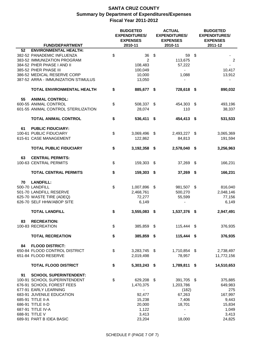|    |                                                                                                                                                                                                                        |                           | <b>ACTUAL</b><br><b>BUDGETED</b><br><b>EXPENDITURES/</b><br><b>EXPENDITURES/</b><br><b>EXPENSES</b><br><b>EXPENSES</b> |    |                                                                                          | <b>BUDGETED</b><br><b>EXPENDITURES/</b><br><b>EXPENSES</b> |                                         |
|----|------------------------------------------------------------------------------------------------------------------------------------------------------------------------------------------------------------------------|---------------------------|------------------------------------------------------------------------------------------------------------------------|----|------------------------------------------------------------------------------------------|------------------------------------------------------------|-----------------------------------------|
|    | <b>FUND/DEPARTMENT</b>                                                                                                                                                                                                 |                           | 2010-11                                                                                                                |    | 2010-11                                                                                  |                                                            | 2011-12                                 |
| 52 | <b>ENVIRONMENTAL HEALTH:</b><br>382-52 PANADEMIC INFLUENZA<br>383-52 IMMUNIZATION PROGRAM<br>384-52 PHER PHASE I AND II<br>385-52 PHER PHASE III<br>386-52 MEDICAL RESERVE CORP<br>387-52 ARRA - IMMUNIZATION STIMULUS | \$                        | 36<br>2<br>108,483<br>100,049<br>10,000<br>13,050                                                                      | \$ | 59<br>113,675<br>57,222<br>$\overline{\phantom{a}}$<br>1,088<br>$\overline{\phantom{a}}$ | \$                                                         | $\overline{2}$<br>10,417<br>13,912      |
|    | <b>TOTAL ENVIRONMENTAL HEALTH</b>                                                                                                                                                                                      | \$                        | 885,677 \$                                                                                                             |    | 728,618 \$                                                                               |                                                            | 890,032                                 |
| 55 | <b>ANIMAL CONTROL:</b>                                                                                                                                                                                                 |                           |                                                                                                                        |    |                                                                                          |                                                            |                                         |
|    | 600-55 ANIMAL CONTROL<br>601-55 ANIMAL CONTROL STERILIZATION                                                                                                                                                           | \$                        | 508,337 \$<br>28,074                                                                                                   |    | 454,303 \$<br>110                                                                        |                                                            | 493,196<br>38,337                       |
|    | <b>TOTAL ANIMAL CONTROL</b>                                                                                                                                                                                            | \$                        | 536,411 \$                                                                                                             |    | 454,413 \$                                                                               |                                                            | 531,533                                 |
| 61 | <b>PUBLIC FIDUCIARY:</b><br>100-61 PUBLIC FIDUCIARY<br>615-61 CASE MANAGEMENT                                                                                                                                          | \$                        | 3,069,496 \$<br>122,862                                                                                                |    | 2,493,227 \$<br>84,813                                                                   |                                                            | 3,065,369<br>191,594                    |
|    | <b>TOTAL PUBLIC FIDUCIARY</b>                                                                                                                                                                                          | \$                        | 3,192,358 \$                                                                                                           |    | 2,578,040 \$                                                                             |                                                            | 3,256,963                               |
| 63 | <b>CENTRAL PERMITS:</b><br>100-63 CENTRAL PERMITS                                                                                                                                                                      | $\$\$                     | 159,303 \$                                                                                                             |    | 37,269 \$                                                                                |                                                            | 166,231                                 |
|    | <b>TOTAL CENTRAL PERMITS</b>                                                                                                                                                                                           | \$                        | 159,303 \$                                                                                                             |    | 37,269 \$                                                                                |                                                            | 166,231                                 |
| 70 | <b>LANDFILL:</b><br>500-70 LANDFILL<br>501-70 LANDFILL RESERVE<br>625-70 WASTE TIRE (ADEQ)<br>626-70 SELF HHW/ABOP SITE                                                                                                | \$                        | 1,007,896 \$<br>2,468,761<br>72,277<br>6,149                                                                           |    | 981,507 \$<br>500,270<br>55,599                                                          |                                                            | 816,040<br>2,048,146<br>77,156<br>6,149 |
|    | <b>TOTAL LANDFILL</b>                                                                                                                                                                                                  | \$                        | 3,555,083 \$                                                                                                           |    | 1,537,376 \$                                                                             |                                                            | 2,947,491                               |
| 83 | <b>RECREATION:</b><br>100-83 RECREATION                                                                                                                                                                                | \$                        | 385,859 \$                                                                                                             |    | 115,444 \$                                                                               |                                                            | 376,935                                 |
|    | <b>TOTAL RECREATION</b>                                                                                                                                                                                                | \$                        | 385,859 \$                                                                                                             |    | 115,444 \$                                                                               |                                                            | 376,935                                 |
|    |                                                                                                                                                                                                                        |                           |                                                                                                                        |    |                                                                                          |                                                            |                                         |
| 84 | <b>FLOOD DISTRICT:</b><br>650-84 FLOOD CONTROL DISTRICT<br>651-84 FLOOD RESERVE                                                                                                                                        | \$                        | 3,283,745 \$<br>2,019,498                                                                                              |    | 1,710,854 \$<br>78,957                                                                   |                                                            | 2,738,497<br>11,772,156                 |
|    | <b>TOTAL FLOOD DISTRICT</b>                                                                                                                                                                                            | \$                        | 5,303,243 \$                                                                                                           |    | 1,789,811 \$                                                                             |                                                            | 14,510,653                              |
| 91 | <b>SCHOOL SUPERINTENDENT:</b><br>100-91 SCHOOL SUPERINTENDENT<br>676-91 SCHOOL FOREST FEES<br>677-91 EARLY LEARNING                                                                                                    | $\boldsymbol{\mathsf{S}}$ | 629,208 \$<br>1,470,375                                                                                                |    | 391,705 \$<br>1,203,786<br>(182)                                                         |                                                            | 375,885<br>649,983<br>275               |
|    | 683-91 JUVENILE EDUCATION                                                                                                                                                                                              |                           | 92,477                                                                                                                 |    | 67,263                                                                                   |                                                            | 167,997                                 |
|    | 685-91 TITLE II-A                                                                                                                                                                                                      |                           | 15,238                                                                                                                 |    | 7,406                                                                                    |                                                            | 9,443                                   |
|    | 686-91 TITLE II-D                                                                                                                                                                                                      |                           | 20,000                                                                                                                 |    | 18,701                                                                                   |                                                            | 15,834                                  |
|    | 687-91 TITLE IV-A                                                                                                                                                                                                      |                           | 1,122                                                                                                                  |    |                                                                                          |                                                            | 1,049                                   |
|    | 688-91 TITLE V<br>689-91 PART B IDEA BASIC                                                                                                                                                                             |                           | 3,413<br>23,204                                                                                                        |    | 18,000                                                                                   |                                                            | 3,413<br>24,825                         |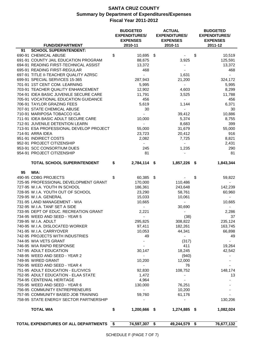|    |                                          | <b>BUDGETED</b><br><b>EXPENDITURES/</b><br><b>EXPENSES</b> |      | <b>ACTUAL</b><br><b>EXPENDITURES/</b><br><b>EXPENSES</b> | <b>BUDGETED</b><br><b>EXPENDITURES/</b><br><b>EXPENSES</b> |
|----|------------------------------------------|------------------------------------------------------------|------|----------------------------------------------------------|------------------------------------------------------------|
|    | <b>FUND/DEPARTMENT</b>                   | 2010-11                                                    |      | 2010-11                                                  | 2011-12                                                    |
| 91 | <b>SCHOOL SUPERINTENDENT:</b>            |                                                            |      |                                                          |                                                            |
|    | 690-91 CHEMICAL ABUSE                    | \$<br>10,695                                               | - \$ |                                                          | \$<br>10,519                                               |
|    | 691-91 COUNTY JAIL EDUCATION PROGRAM     | 88,675                                                     |      | 3,925                                                    | 125,591                                                    |
|    | 694-91 READING FIRST-TECHNICAL ASSIST    | 13,372                                                     |      |                                                          | 13,372                                                     |
|    | 695-91 READING FIRST-REGULAR             | 468                                                        |      |                                                          | 468                                                        |
|    | 697-91 TITLE II-TEACHER QUALITY AZRSC    | $\blacksquare$                                             |      | 1,631                                                    | $\blacksquare$                                             |
|    | 699-91 SPECIAL SERVICES 15-365           | 287,943                                                    |      | 21,200                                                   | 324,172                                                    |
|    | 701-91 1ST CENT COM. LEARNING            | 5,995                                                      |      | $\blacksquare$                                           | 5,995                                                      |
|    | 703-91 TEACHER QUALITY ENHANCEMENT       | 12,902                                                     |      | 4,603                                                    | 8,299                                                      |
|    | 704-91 IDEA BASIC JUVENILE SECURE CARE   | 11,791                                                     |      | 3,525                                                    | 11,788                                                     |
|    | 705-91 VOCATIONAL EDUCATION GUIDANCE     | 456                                                        |      | $\blacksquare$                                           | 456                                                        |
|    | 706-91 TAYLOR GRAZING FEES               | 5,619                                                      |      | 1,144                                                    | 6,371                                                      |
|    | 707-91 STATE CHEMICAL ABUSE              | 30                                                         |      |                                                          | 30                                                         |
|    | 710-91 MARIPOSA TOBACCO IGA              |                                                            |      | 39,412                                                   | 10,886                                                     |
|    | 711-91 IDEA BASIC ADULT SECURE CARE      | 10,000                                                     |      | 5,374                                                    | 8,755                                                      |
|    | 712-91 JUVENILE DETENTION LEARN          |                                                            |      | 8,683                                                    | 399                                                        |
|    | 713-91 ESA PROFESSIONAL DEVELOP PROJECT  | 55,000                                                     |      | 31,679                                                   | 55,000                                                     |
|    | 714-91 ARRA IDEA                         | 23,723                                                     |      | 20,412                                                   | 916                                                        |
|    | 951-91 INDIRECT COSTS                    | 2,082                                                      |      | 7,725                                                    | 8,821                                                      |
|    | 952-91 PROJECT CITIZENSHIP               |                                                            |      |                                                          | 2,431                                                      |
|    | 953-91 SCC CONSORTIUM DUES               | 245                                                        |      | 1,235                                                    | 290                                                        |
|    | 954-91 PROJECT CITIZENSHIP               | 81                                                         |      |                                                          | 81                                                         |
|    | TOTAL SCHOOL SUPERINTENDENT              | \$<br>2,784,114 \$                                         |      | 1,857,226 \$                                             | 1,843,344                                                  |
| 95 | WIA:                                     |                                                            |      |                                                          |                                                            |
|    | 490-95 CDBG PROJECTS                     | \$<br>60,385                                               | \$   |                                                          | \$<br>59,822                                               |
|    | 725-95 PROFESSIONAL DEVELOPMENT GRANT    | 170,000                                                    |      | 110,486                                                  |                                                            |
|    | 727-95 W.I.A. YOUTH IN SCHOOL            | 186,361                                                    |      | 243,648                                                  | 142,239                                                    |
|    | 728-95 W.I.A. YOUTH OUT OF SCHOOL        | 23,290                                                     |      | 58,761                                                   | 60,960                                                     |
|    | 729-95 W.I.A. GENERAL                    | 15,033                                                     |      | 10,061                                                   |                                                            |
|    | 731-95 LAND MANAGEMENT - WIA             | 10,665                                                     |      |                                                          | 10,665                                                     |
|    | 732-95 W.I.A. TANF SET A SIDE            | $\sim$                                                     |      | 30,690                                                   |                                                            |
|    | 733-95 DEPT OF EDUC. RECREATION GRANT    | 2,221                                                      |      |                                                          | 2,286                                                      |
|    | 734-95 WEED AND SEED - YEAR 5            | $\sim$ .                                                   |      | (38)                                                     | 37                                                         |
|    | 739-95 W.I.A. ADULT                      | 295,825                                                    |      | 308,822                                                  | 235,124                                                    |
|    | 740-95 W.I.A. DISLOCATED WORKER          | 97,411                                                     |      | 182,261                                                  | 163,745                                                    |
|    | 741-95 W.I.A. CARRYOVER                  | 10,053                                                     |      | 44,341                                                   | 66,898                                                     |
|    | 742-95 PROJECTS WITH INDUSTRIES          | 49                                                         |      | $\blacksquare$                                           | 49                                                         |
|    | 744-95 WIA VETS GRANT                    |                                                            |      | (317)                                                    | $\sim$                                                     |
|    | 746-95 WIA RAPID RESPONSE                |                                                            |      | 411                                                      | 19,264                                                     |
|    | 747-95 ADULT EDUCATION                   | 30,147                                                     |      | 18,245                                                   | 42,542                                                     |
|    | 748-95 WEED AND SEED - YEAR 2            | $\blacksquare$                                             |      | (940)                                                    |                                                            |
|    | 749-95 WIRED GRANT                       | 10,200                                                     |      | 12,000                                                   |                                                            |
|    | 750-95 WEED AND SEED - YEAR 4            |                                                            |      | 76                                                       |                                                            |
|    | 751-95 ADULT EDUCATION - EL/CIVICS       | 92,830                                                     |      | 108,752                                                  | 148,174                                                    |
|    | 752-95 ADULT EDUCATION - ELAA STATE      | 1,472                                                      |      |                                                          | 13                                                         |
|    | 754-95 CENTENIAL HERITAGE                | 4,964                                                      |      |                                                          |                                                            |
|    | 755-95 WEED AND SEED - YEAR 6            | 130,000                                                    |      | 76,251                                                   |                                                            |
|    | 756-95 COMMUNITY ENTREPRENEURS           |                                                            |      | 10,200                                                   |                                                            |
|    | 757-95 COMMUNITY BASED JOB TRAINING      | 59,760                                                     |      | 61,176                                                   |                                                            |
|    | 758-95 STATE ENERGY SECTOR PARTNERSHIP   |                                                            |      |                                                          | 130,206                                                    |
|    |                                          |                                                            |      |                                                          |                                                            |
|    | <b>TOTAL WIA</b>                         | \$<br>1,200,666 \$                                         |      | 1,274,885 \$                                             | 1,082,024                                                  |
|    |                                          |                                                            |      |                                                          |                                                            |
|    | TOTAL EXPENDITURES OF ALL DEPARTMENTS \$ | 74,597,307 \$                                              |      | 49,244,579 \$                                            | 76,677,132                                                 |